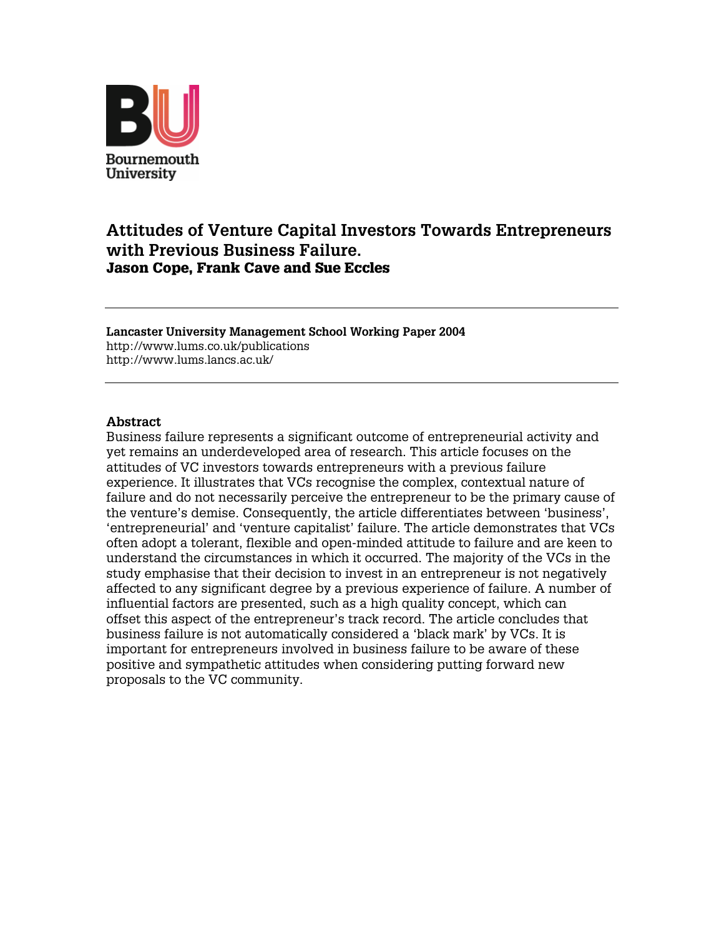

# **Attitudes of Venture Capital Investors Towards Entrepreneurs with Previous Business Failure.**  Jason Cope, Frank Cave and Sue Eccles

**Lancaster University Management School Working Paper 2004**  http://www.lums.co.uk/publications <http://www.lums.lancs.ac.uk/>

#### **Abstract**

Business failure represents a significant outcome of entrepreneurial activity and yet remains an underdeveloped area of research. This article focuses on the attitudes of VC investors towards entrepreneurs with a previous failure experience. It illustrates that VCs recognise the complex, contextual nature of failure and do not necessarily perceive the entrepreneur to be the primary cause of the venture's demise. Consequently, the article differentiates between 'business', 'entrepreneurial' and 'venture capitalist' failure. The article demonstrates that VCs often adopt a tolerant, flexible and open-minded attitude to failure and are keen to understand the circumstances in which it occurred. The majority of the VCs in the study emphasise that their decision to invest in an entrepreneur is not negatively affected to any significant degree by a previous experience of failure. A number of influential factors are presented, such as a high quality concept, which can offset this aspect of the entrepreneur's track record. The article concludes that business failure is not automatically considered a 'black mark' by VCs. It is important for entrepreneurs involved in business failure to be aware of these positive and sympathetic attitudes when considering putting forward new proposals to the VC community.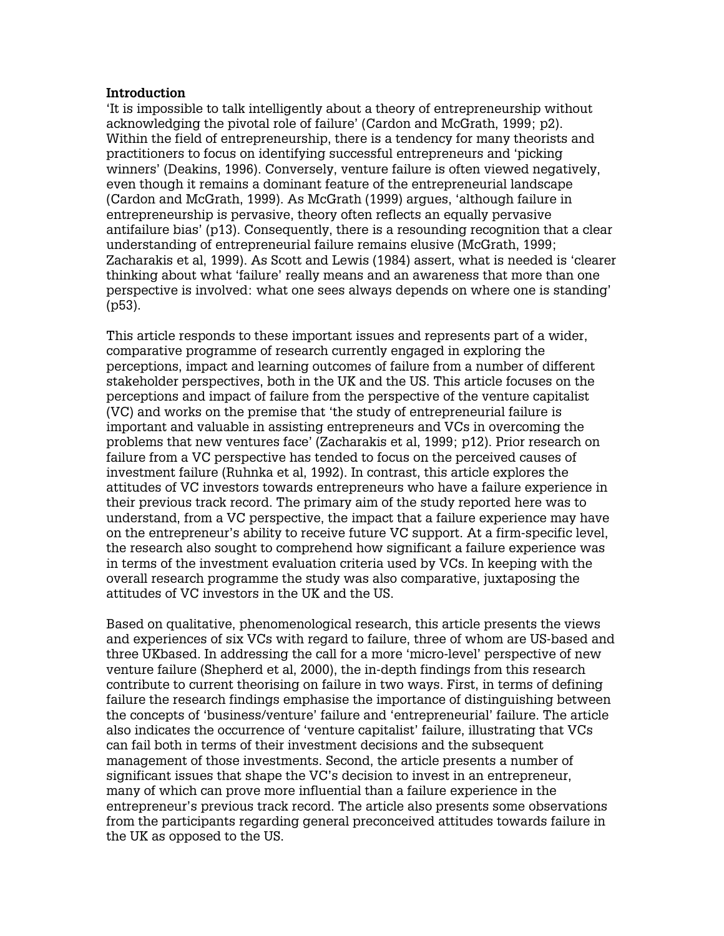# **Introduction**

'It is impossible to talk intelligently about a theory of entrepreneurship without acknowledging the pivotal role of failure' (Cardon and McGrath, 1999; p2). Within the field of entrepreneurship, there is a tendency for many theorists and practitioners to focus on identifying successful entrepreneurs and 'picking winners' (Deakins, 1996). Conversely, venture failure is often viewed negatively, even though it remains a dominant feature of the entrepreneurial landscape (Cardon and McGrath, 1999). As McGrath (1999) argues, 'although failure in entrepreneurship is pervasive, theory often reflects an equally pervasive antifailure bias' (p13). Consequently, there is a resounding recognition that a clear understanding of entrepreneurial failure remains elusive (McGrath, 1999; Zacharakis et al, 1999). As Scott and Lewis (1984) assert, what is needed is 'clearer thinking about what 'failure' really means and an awareness that more than one perspective is involved: what one sees always depends on where one is standing' (p53).

This article responds to these important issues and represents part of a wider, comparative programme of research currently engaged in exploring the perceptions, impact and learning outcomes of failure from a number of different stakeholder perspectives, both in the UK and the US. This article focuses on the perceptions and impact of failure from the perspective of the venture capitalist (VC) and works on the premise that 'the study of entrepreneurial failure is important and valuable in assisting entrepreneurs and VCs in overcoming the problems that new ventures face' (Zacharakis et al, 1999; p12). Prior research on failure from a VC perspective has tended to focus on the perceived causes of investment failure (Ruhnka et al, 1992). In contrast, this article explores the attitudes of VC investors towards entrepreneurs who have a failure experience in their previous track record. The primary aim of the study reported here was to understand, from a VC perspective, the impact that a failure experience may have on the entrepreneur's ability to receive future VC support. At a firm-specific level, the research also sought to comprehend how significant a failure experience was in terms of the investment evaluation criteria used by VCs. In keeping with the overall research programme the study was also comparative, juxtaposing the attitudes of VC investors in the UK and the US.

Based on qualitative, phenomenological research, this article presents the views and experiences of six VCs with regard to failure, three of whom are US-based and three UKbased. In addressing the call for a more 'micro-level' perspective of new venture failure (Shepherd et al, 2000), the in-depth findings from this research contribute to current theorising on failure in two ways. First, in terms of defining failure the research findings emphasise the importance of distinguishing between the concepts of 'business/venture' failure and 'entrepreneurial' failure. The article also indicates the occurrence of 'venture capitalist' failure, illustrating that VCs can fail both in terms of their investment decisions and the subsequent management of those investments. Second, the article presents a number of significant issues that shape the VC's decision to invest in an entrepreneur, many of which can prove more influential than a failure experience in the entrepreneur's previous track record. The article also presents some observations from the participants regarding general preconceived attitudes towards failure in the UK as opposed to the US.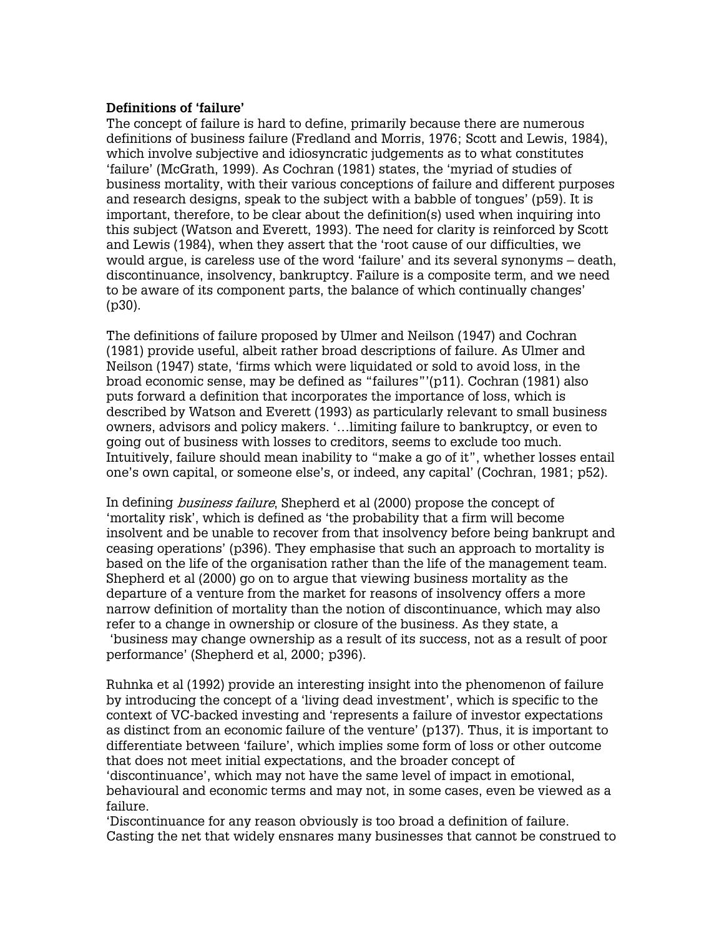# **Definitions of 'failure'**

The concept of failure is hard to define, primarily because there are numerous definitions of business failure (Fredland and Morris, 1976; Scott and Lewis, 1984), which involve subjective and idiosyncratic judgements as to what constitutes 'failure' (McGrath, 1999). As Cochran (1981) states, the 'myriad of studies of business mortality, with their various conceptions of failure and different purposes and research designs, speak to the subject with a babble of tongues' (p59). It is important, therefore, to be clear about the definition(s) used when inquiring into this subject (Watson and Everett, 1993). The need for clarity is reinforced by Scott and Lewis (1984), when they assert that the 'root cause of our difficulties, we would argue, is careless use of the word 'failure' and its several synonyms – death, discontinuance, insolvency, bankruptcy. Failure is a composite term, and we need to be aware of its component parts, the balance of which continually changes' (p30).

The definitions of failure proposed by Ulmer and Neilson (1947) and Cochran (1981) provide useful, albeit rather broad descriptions of failure. As Ulmer and Neilson (1947) state, 'firms which were liquidated or sold to avoid loss, in the broad economic sense, may be defined as "failures"'(p11). Cochran (1981) also puts forward a definition that incorporates the importance of loss, which is described by Watson and Everett (1993) as particularly relevant to small business owners, advisors and policy makers. '…limiting failure to bankruptcy, or even to going out of business with losses to creditors, seems to exclude too much. Intuitively, failure should mean inability to "make a go of it", whether losses entail one's own capital, or someone else's, or indeed, any capital' (Cochran, 1981; p52).

In defining *business failure*, Shepherd et al (2000) propose the concept of 'mortality risk', which is defined as 'the probability that a firm will become insolvent and be unable to recover from that insolvency before being bankrupt and ceasing operations' (p396). They emphasise that such an approach to mortality is based on the life of the organisation rather than the life of the management team. Shepherd et al (2000) go on to argue that viewing business mortality as the departure of a venture from the market for reasons of insolvency offers a more narrow definition of mortality than the notion of discontinuance, which may also refer to a change in ownership or closure of the business. As they state, a 'business may change ownership as a result of its success, not as a result of poor performance' (Shepherd et al, 2000; p396).

Ruhnka et al (1992) provide an interesting insight into the phenomenon of failure by introducing the concept of a 'living dead investment', which is specific to the context of VC-backed investing and 'represents a failure of investor expectations as distinct from an economic failure of the venture' (p137). Thus, it is important to differentiate between 'failure', which implies some form of loss or other outcome that does not meet initial expectations, and the broader concept of 'discontinuance', which may not have the same level of impact in emotional, behavioural and economic terms and may not, in some cases, even be viewed as a failure.

'Discontinuance for any reason obviously is too broad a definition of failure. Casting the net that widely ensnares many businesses that cannot be construed to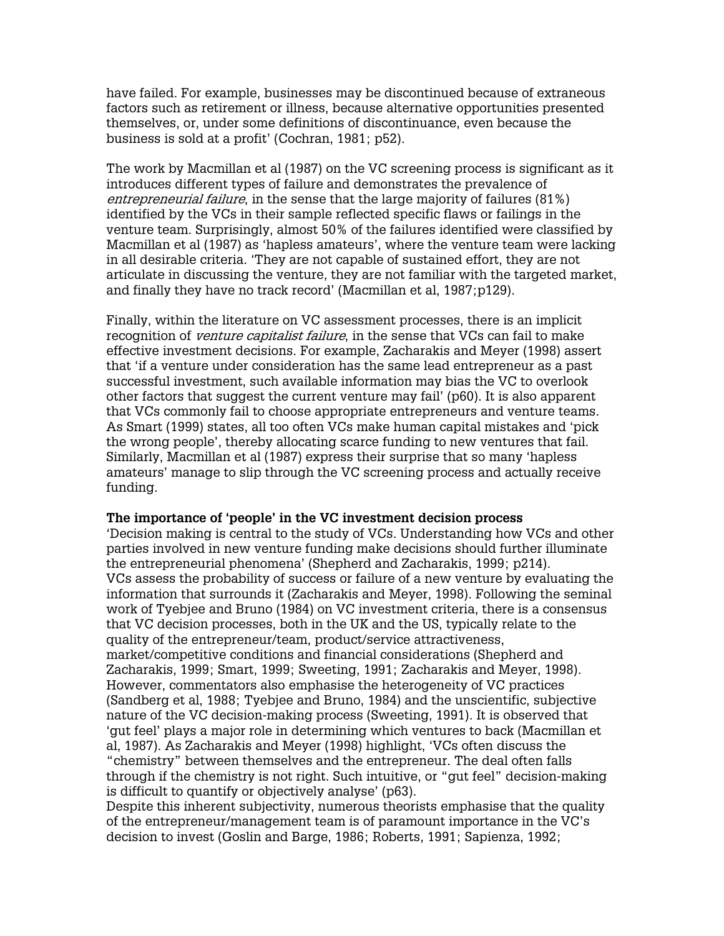have failed. For example, businesses may be discontinued because of extraneous factors such as retirement or illness, because alternative opportunities presented themselves, or, under some definitions of discontinuance, even because the business is sold at a profit' (Cochran, 1981; p52).

The work by Macmillan et al (1987) on the VC screening process is significant as it introduces different types of failure and demonstrates the prevalence of entrepreneurial failure, in the sense that the large majority of failures (81%) identified by the VCs in their sample reflected specific flaws or failings in the venture team. Surprisingly, almost 50% of the failures identified were classified by Macmillan et al (1987) as 'hapless amateurs', where the venture team were lacking in all desirable criteria. 'They are not capable of sustained effort, they are not articulate in discussing the venture, they are not familiar with the targeted market, and finally they have no track record' (Macmillan et al, 1987;p129).

Finally, within the literature on VC assessment processes, there is an implicit recognition of *venture capitalist failure*, in the sense that VCs can fail to make effective investment decisions. For example, Zacharakis and Meyer (1998) assert that 'if a venture under consideration has the same lead entrepreneur as a past successful investment, such available information may bias the VC to overlook other factors that suggest the current venture may fail' (p60). It is also apparent that VCs commonly fail to choose appropriate entrepreneurs and venture teams. As Smart (1999) states, all too often VCs make human capital mistakes and 'pick the wrong people', thereby allocating scarce funding to new ventures that fail. Similarly, Macmillan et al (1987) express their surprise that so many 'hapless amateurs' manage to slip through the VC screening process and actually receive funding.

# **The importance of 'people' in the VC investment decision process**

'Decision making is central to the study of VCs. Understanding how VCs and other parties involved in new venture funding make decisions should further illuminate the entrepreneurial phenomena' (Shepherd and Zacharakis, 1999; p214). VCs assess the probability of success or failure of a new venture by evaluating the information that surrounds it (Zacharakis and Meyer, 1998). Following the seminal work of Tyebjee and Bruno (1984) on VC investment criteria, there is a consensus that VC decision processes, both in the UK and the US, typically relate to the quality of the entrepreneur/team, product/service attractiveness, market/competitive conditions and financial considerations (Shepherd and Zacharakis, 1999; Smart, 1999; Sweeting, 1991; Zacharakis and Meyer, 1998). However, commentators also emphasise the heterogeneity of VC practices (Sandberg et al, 1988; Tyebjee and Bruno, 1984) and the unscientific, subjective nature of the VC decision-making process (Sweeting, 1991). It is observed that 'gut feel' plays a major role in determining which ventures to back (Macmillan et al, 1987). As Zacharakis and Meyer (1998) highlight, 'VCs often discuss the "chemistry" between themselves and the entrepreneur. The deal often falls through if the chemistry is not right. Such intuitive, or "gut feel" decision-making is difficult to quantify or objectively analyse' (p63).

Despite this inherent subjectivity, numerous theorists emphasise that the quality of the entrepreneur/management team is of paramount importance in the VC's decision to invest (Goslin and Barge, 1986; Roberts, 1991; Sapienza, 1992;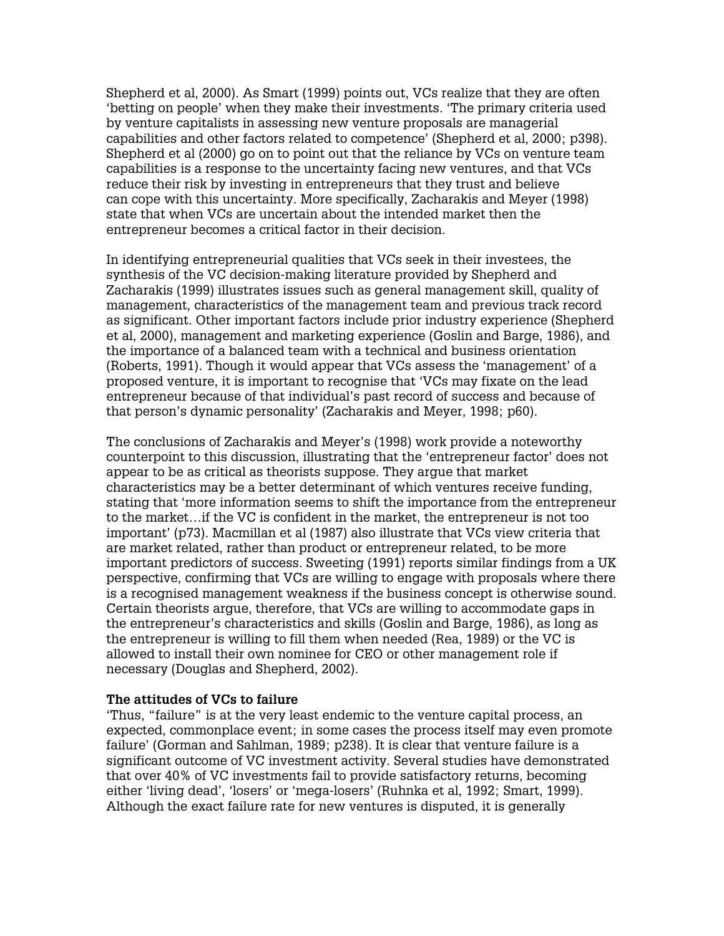Shepherd et al, 2000). As Smart (1999) points out, VCs realize that they are often 'betting on people' when they make their investments. 'The primary criteria used by venture capitalists in assessing new venture proposals are managerial capabilities and other factors related to competence' (Shepherd et al, 2000; p398). Shepherd et al (2000) go on to point out that the reliance by VCs on venture team capabilities is a response to the uncertainty facing new ventures, and that VCs reduce their risk by investing in entrepreneurs that they trust and believe can cope with this uncertainty. More specifically, Zacharakis and Meyer (1998) state that when VCs are uncertain about the intended market then the entrepreneur becomes a critical factor in their decision.

In identifying entrepreneurial qualities that VCs seek in their investees, the synthesis of the VC decision-making literature provided by Shepherd and Zacharakis (1999) illustrates issues such as general management skill, quality of management, characteristics of the management team and previous track record as significant. Other important factors include prior industry experience (Shepherd et al, 2000), management and marketing experience (Goslin and Barge, 1986), and the importance of a balanced team with a technical and business orientation (Roberts, 1991). Though it would appear that VCs assess the 'management' of a proposed venture, it is important to recognise that 'VCs may fixate on the lead entrepreneur because of that individual's past record of success and because of that person's dynamic personality' (Zacharakis and Meyer, 1998; p60).

The conclusions of Zacharakis and Meyer's (1998) work provide a noteworthy counterpoint to this discussion, illustrating that the 'entrepreneur factor' does not appear to be as critical as theorists suppose. They argue that market characteristics may be a better determinant of which ventures receive funding, stating that 'more information seems to shift the importance from the entrepreneur to the market…if the VC is confident in the market, the entrepreneur is not too important' (p73). Macmillan et al (1987) also illustrate that VCs view criteria that are market related, rather than product or entrepreneur related, to be more important predictors of success. Sweeting (1991) reports similar findings from a UK perspective, confirming that VCs are willing to engage with proposals where there is a recognised management weakness if the business concept is otherwise sound. Certain theorists argue, therefore, that VCs are willing to accommodate gaps in the entrepreneur's characteristics and skills (Goslin and Barge, 1986), as long as the entrepreneur is willing to fill them when needed (Rea, 1989) or the VC is allowed to install their own nominee for CEO or other management role if necessary (Douglas and Shepherd, 2002).

# **The attitudes of VCs to failure**

'Thus, "failure" is at the very least endemic to the venture capital process, an expected, commonplace event; in some cases the process itself may even promote failure' (Gorman and Sahlman, 1989; p238). It is clear that venture failure is a significant outcome of VC investment activity. Several studies have demonstrated that over 40% of VC investments fail to provide satisfactory returns, becoming either 'living dead', 'losers' or 'mega-losers' (Ruhnka et al, 1992; Smart, 1999). Although the exact failure rate for new ventures is disputed, it is generally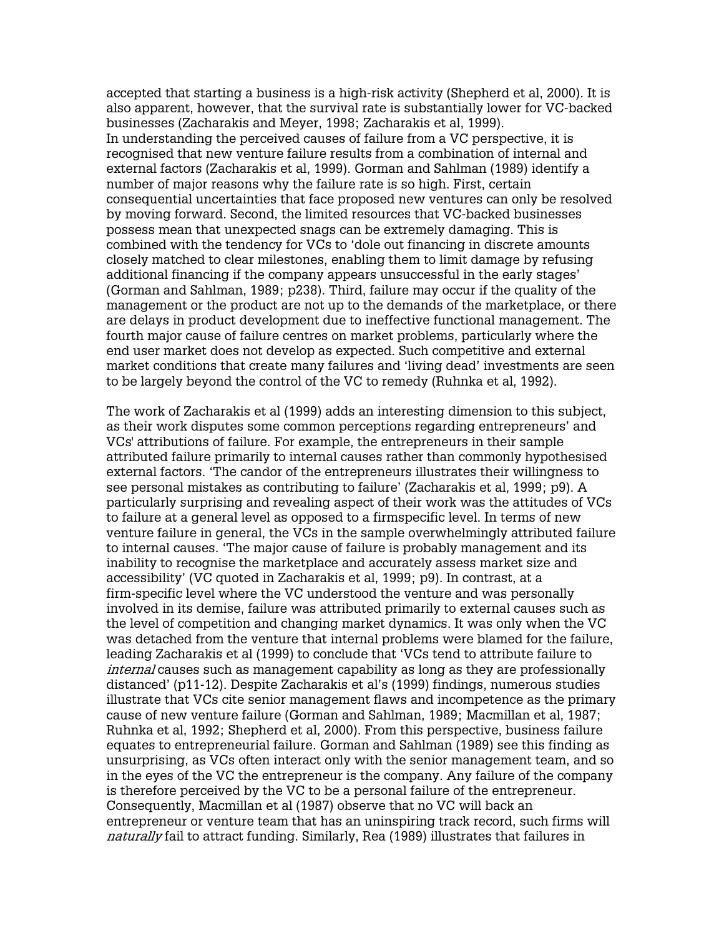accepted that starting a business is a high-risk activity (Shepherd et al, 2000). It is also apparent, however, that the survival rate is substantially lower for VC-backed businesses (Zacharakis and Meyer, 1998; Zacharakis et al, 1999). In understanding the perceived causes of failure from a VC perspective, it is recognised that new venture failure results from a combination of internal and external factors (Zacharakis et al, 1999). Gorman and Sahlman (1989) identify a number of major reasons why the failure rate is so high. First, certain consequential uncertainties that face proposed new ventures can only be resolved by moving forward. Second, the limited resources that VC-backed businesses possess mean that unexpected snags can be extremely damaging. This is combined with the tendency for VCs to 'dole out financing in discrete amounts closely matched to clear milestones, enabling them to limit damage by refusing additional financing if the company appears unsuccessful in the early stages' (Gorman and Sahlman, 1989; p238). Third, failure may occur if the quality of the management or the product are not up to the demands of the marketplace, or there are delays in product development due to ineffective functional management. The fourth major cause of failure centres on market problems, particularly where the end user market does not develop as expected. Such competitive and external market conditions that create many failures and 'living dead' investments are seen to be largely beyond the control of the VC to remedy (Ruhnka et al, 1992).

The work of Zacharakis et al (1999) adds an interesting dimension to this subject, as their work disputes some common perceptions regarding entrepreneurs' and VCs' attributions of failure. For example, the entrepreneurs in their sample attributed failure primarily to internal causes rather than commonly hypothesised external factors. 'The candor of the entrepreneurs illustrates their willingness to see personal mistakes as contributing to failure' (Zacharakis et al, 1999; p9). A particularly surprising and revealing aspect of their work was the attitudes of VCs to failure at a general level as opposed to a firmspecific level. In terms of new venture failure in general, the VCs in the sample overwhelmingly attributed failure to internal causes. 'The major cause of failure is probably management and its inability to recognise the marketplace and accurately assess market size and accessibility' (VC quoted in Zacharakis et al, 1999; p9). In contrast, at a firm-specific level where the VC understood the venture and was personally involved in its demise, failure was attributed primarily to external causes such as the level of competition and changing market dynamics. It was only when the VC was detached from the venture that internal problems were blamed for the failure, leading Zacharakis et al (1999) to conclude that 'VCs tend to attribute failure to internal causes such as management capability as long as they are professionally distanced' (p11-12). Despite Zacharakis et al's (1999) findings, numerous studies illustrate that VCs cite senior management flaws and incompetence as the primary cause of new venture failure (Gorman and Sahlman, 1989; Macmillan et al, 1987; Ruhnka et al, 1992; Shepherd et al, 2000). From this perspective, business failure equates to entrepreneurial failure. Gorman and Sahlman (1989) see this finding as unsurprising, as VCs often interact only with the senior management team, and so in the eyes of the VC the entrepreneur is the company. Any failure of the company is therefore perceived by the VC to be a personal failure of the entrepreneur. Consequently, Macmillan et al (1987) observe that no VC will back an entrepreneur or venture team that has an uninspiring track record, such firms will naturally fail to attract funding. Similarly, Rea (1989) illustrates that failures in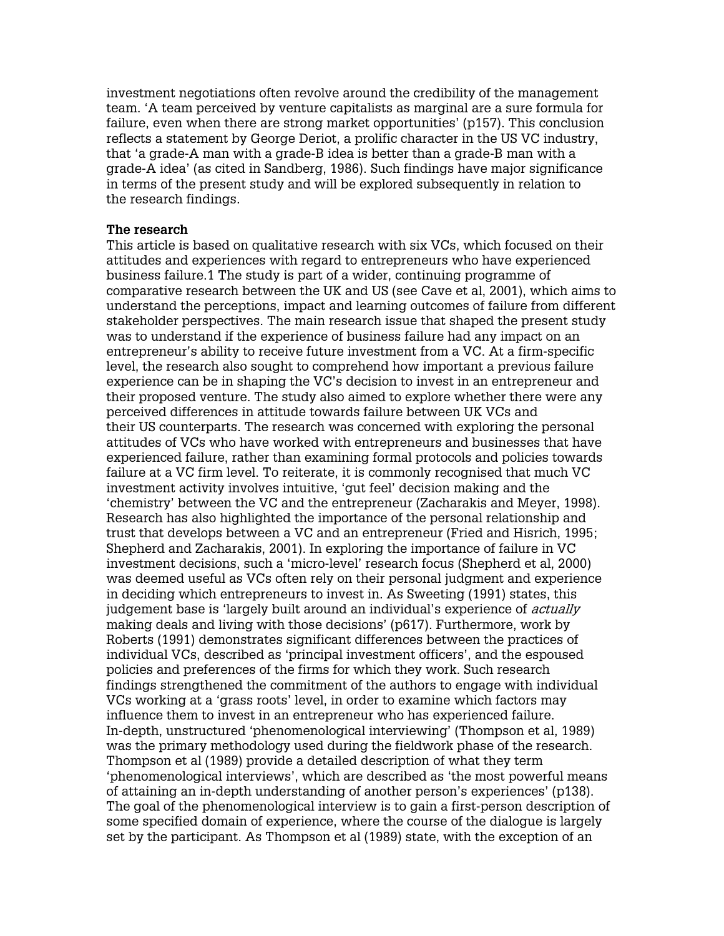investment negotiations often revolve around the credibility of the management team. 'A team perceived by venture capitalists as marginal are a sure formula for failure, even when there are strong market opportunities' (p157). This conclusion reflects a statement by George Deriot, a prolific character in the US VC industry, that 'a grade-A man with a grade-B idea is better than a grade-B man with a grade-A idea' (as cited in Sandberg, 1986). Such findings have major significance in terms of the present study and will be explored subsequently in relation to the research findings.

#### **The research**

This article is based on qualitative research with six VCs, which focused on their attitudes and experiences with regard to entrepreneurs who have experienced business failure.1 The study is part of a wider, continuing programme of comparative research between the UK and US (see Cave et al, 2001), which aims to understand the perceptions, impact and learning outcomes of failure from different stakeholder perspectives. The main research issue that shaped the present study was to understand if the experience of business failure had any impact on an entrepreneur's ability to receive future investment from a VC. At a firm-specific level, the research also sought to comprehend how important a previous failure experience can be in shaping the VC's decision to invest in an entrepreneur and their proposed venture. The study also aimed to explore whether there were any perceived differences in attitude towards failure between UK VCs and their US counterparts. The research was concerned with exploring the personal attitudes of VCs who have worked with entrepreneurs and businesses that have experienced failure, rather than examining formal protocols and policies towards failure at a VC firm level. To reiterate, it is commonly recognised that much VC investment activity involves intuitive, 'gut feel' decision making and the 'chemistry' between the VC and the entrepreneur (Zacharakis and Meyer, 1998). Research has also highlighted the importance of the personal relationship and trust that develops between a VC and an entrepreneur (Fried and Hisrich, 1995; Shepherd and Zacharakis, 2001). In exploring the importance of failure in VC investment decisions, such a 'micro-level' research focus (Shepherd et al, 2000) was deemed useful as VCs often rely on their personal judgment and experience in deciding which entrepreneurs to invest in. As Sweeting (1991) states, this judgement base is 'largely built around an individual's experience of actually making deals and living with those decisions' (p617). Furthermore, work by Roberts (1991) demonstrates significant differences between the practices of individual VCs, described as 'principal investment officers', and the espoused policies and preferences of the firms for which they work. Such research findings strengthened the commitment of the authors to engage with individual VCs working at a 'grass roots' level, in order to examine which factors may influence them to invest in an entrepreneur who has experienced failure. In-depth, unstructured 'phenomenological interviewing' (Thompson et al, 1989) was the primary methodology used during the fieldwork phase of the research. Thompson et al (1989) provide a detailed description of what they term 'phenomenological interviews', which are described as 'the most powerful means of attaining an in-depth understanding of another person's experiences' (p138). The goal of the phenomenological interview is to gain a first-person description of some specified domain of experience, where the course of the dialogue is largely set by the participant. As Thompson et al (1989) state, with the exception of an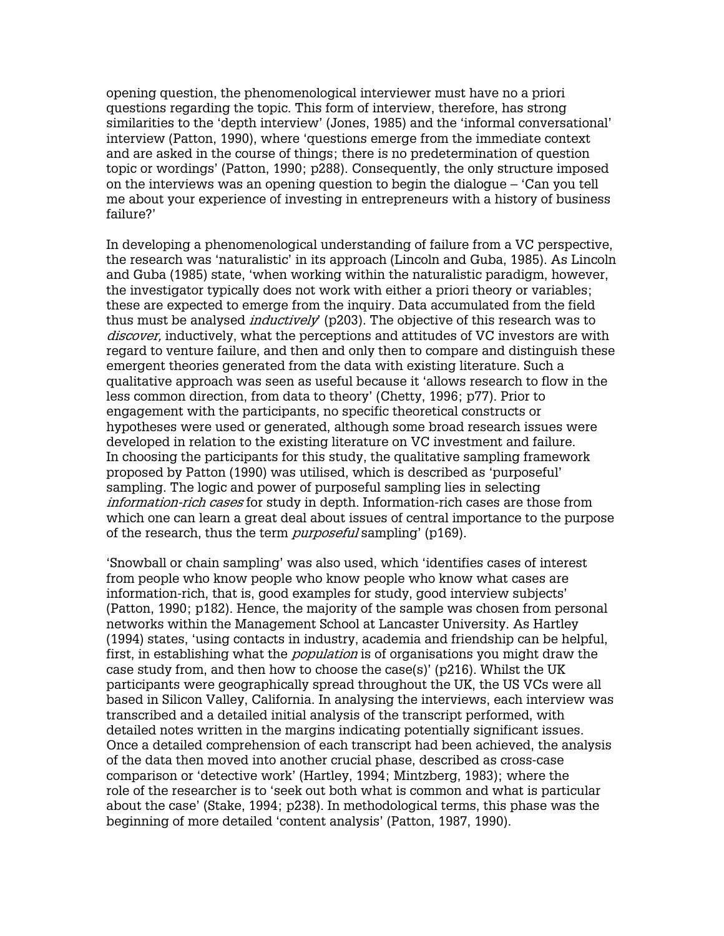opening question, the phenomenological interviewer must have no a priori questions regarding the topic. This form of interview, therefore, has strong similarities to the 'depth interview' (Jones, 1985) and the 'informal conversational' interview (Patton, 1990), where 'questions emerge from the immediate context and are asked in the course of things; there is no predetermination of question topic or wordings' (Patton, 1990; p288). Consequently, the only structure imposed on the interviews was an opening question to begin the dialogue – 'Can you tell me about your experience of investing in entrepreneurs with a history of business failure?'

In developing a phenomenological understanding of failure from a VC perspective, the research was 'naturalistic' in its approach (Lincoln and Guba, 1985). As Lincoln and Guba (1985) state, 'when working within the naturalistic paradigm, however, the investigator typically does not work with either a priori theory or variables; these are expected to emerge from the inquiry. Data accumulated from the field thus must be analysed *inductively*' (p203). The objective of this research was to discover, inductively, what the perceptions and attitudes of VC investors are with regard to venture failure, and then and only then to compare and distinguish these emergent theories generated from the data with existing literature. Such a qualitative approach was seen as useful because it 'allows research to flow in the less common direction, from data to theory' (Chetty, 1996; p77). Prior to engagement with the participants, no specific theoretical constructs or hypotheses were used or generated, although some broad research issues were developed in relation to the existing literature on VC investment and failure. In choosing the participants for this study, the qualitative sampling framework proposed by Patton (1990) was utilised, which is described as 'purposeful' sampling. The logic and power of purposeful sampling lies in selecting information-rich cases for study in depth. Information-rich cases are those from which one can learn a great deal about issues of central importance to the purpose of the research, thus the term *purposeful* sampling' (p169).

'Snowball or chain sampling' was also used, which 'identifies cases of interest from people who know people who know people who know what cases are information-rich, that is, good examples for study, good interview subjects' (Patton, 1990; p182). Hence, the majority of the sample was chosen from personal networks within the Management School at Lancaster University. As Hartley (1994) states, 'using contacts in industry, academia and friendship can be helpful, first, in establishing what the *population* is of organisations you might draw the case study from, and then how to choose the case(s)' (p216). Whilst the UK participants were geographically spread throughout the UK, the US VCs were all based in Silicon Valley, California. In analysing the interviews, each interview was transcribed and a detailed initial analysis of the transcript performed, with detailed notes written in the margins indicating potentially significant issues. Once a detailed comprehension of each transcript had been achieved, the analysis of the data then moved into another crucial phase, described as cross-case comparison or 'detective work' (Hartley, 1994; Mintzberg, 1983); where the role of the researcher is to 'seek out both what is common and what is particular about the case' (Stake, 1994; p238). In methodological terms, this phase was the beginning of more detailed 'content analysis' (Patton, 1987, 1990).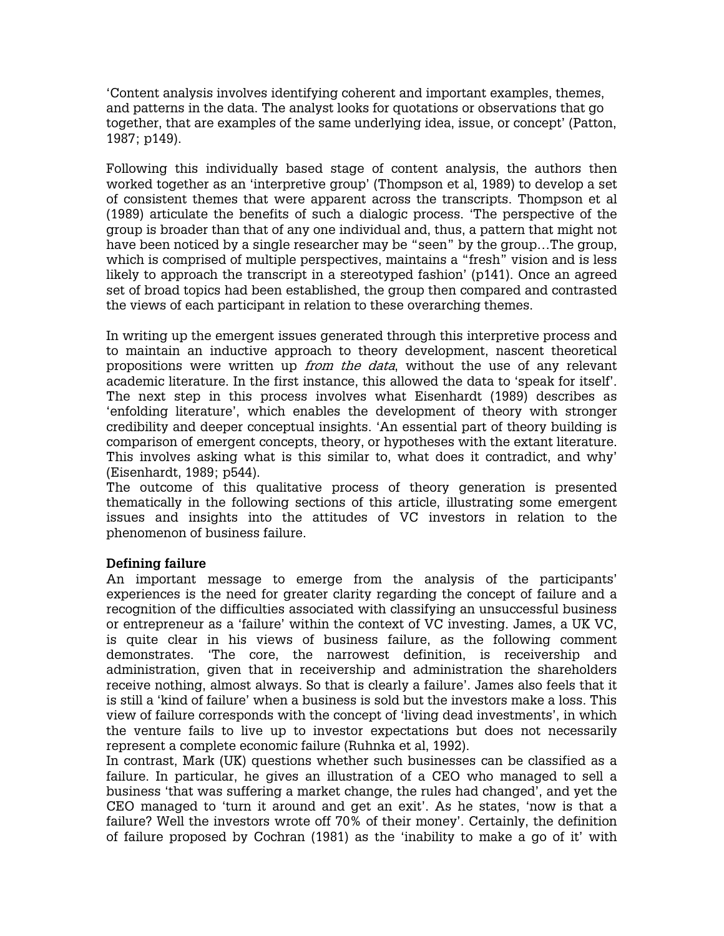'Content analysis involves identifying coherent and important examples, themes, and patterns in the data. The analyst looks for quotations or observations that go together, that are examples of the same underlying idea, issue, or concept' (Patton, 1987; p149).

Following this individually based stage of content analysis, the authors then worked together as an 'interpretive group' (Thompson et al, 1989) to develop a set of consistent themes that were apparent across the transcripts. Thompson et al (1989) articulate the benefits of such a dialogic process. 'The perspective of the group is broader than that of any one individual and, thus, a pattern that might not have been noticed by a single researcher may be "seen" by the group…The group, which is comprised of multiple perspectives, maintains a "fresh" vision and is less likely to approach the transcript in a stereotyped fashion' (p141). Once an agreed set of broad topics had been established, the group then compared and contrasted the views of each participant in relation to these overarching themes.

In writing up the emergent issues generated through this interpretive process and to maintain an inductive approach to theory development, nascent theoretical propositions were written up from the data, without the use of any relevant academic literature. In the first instance, this allowed the data to 'speak for itself'. The next step in this process involves what Eisenhardt (1989) describes as 'enfolding literature', which enables the development of theory with stronger credibility and deeper conceptual insights. 'An essential part of theory building is comparison of emergent concepts, theory, or hypotheses with the extant literature. This involves asking what is this similar to, what does it contradict, and why' (Eisenhardt, 1989; p544).

The outcome of this qualitative process of theory generation is presented thematically in the following sections of this article, illustrating some emergent issues and insights into the attitudes of VC investors in relation to the phenomenon of business failure.

# **Defining failure**

An important message to emerge from the analysis of the participants' experiences is the need for greater clarity regarding the concept of failure and a recognition of the difficulties associated with classifying an unsuccessful business or entrepreneur as a 'failure' within the context of VC investing. James, a UK VC, is quite clear in his views of business failure, as the following comment demonstrates. 'The core, the narrowest definition, is receivership and administration, given that in receivership and administration the shareholders receive nothing, almost always. So that is clearly a failure'. James also feels that it is still a 'kind of failure' when a business is sold but the investors make a loss. This view of failure corresponds with the concept of 'living dead investments', in which the venture fails to live up to investor expectations but does not necessarily represent a complete economic failure (Ruhnka et al, 1992).

In contrast, Mark (UK) questions whether such businesses can be classified as a failure. In particular, he gives an illustration of a CEO who managed to sell a business 'that was suffering a market change, the rules had changed', and yet the CEO managed to 'turn it around and get an exit'. As he states, 'now is that a failure? Well the investors wrote off 70% of their money'. Certainly, the definition of failure proposed by Cochran (1981) as the 'inability to make a go of it' with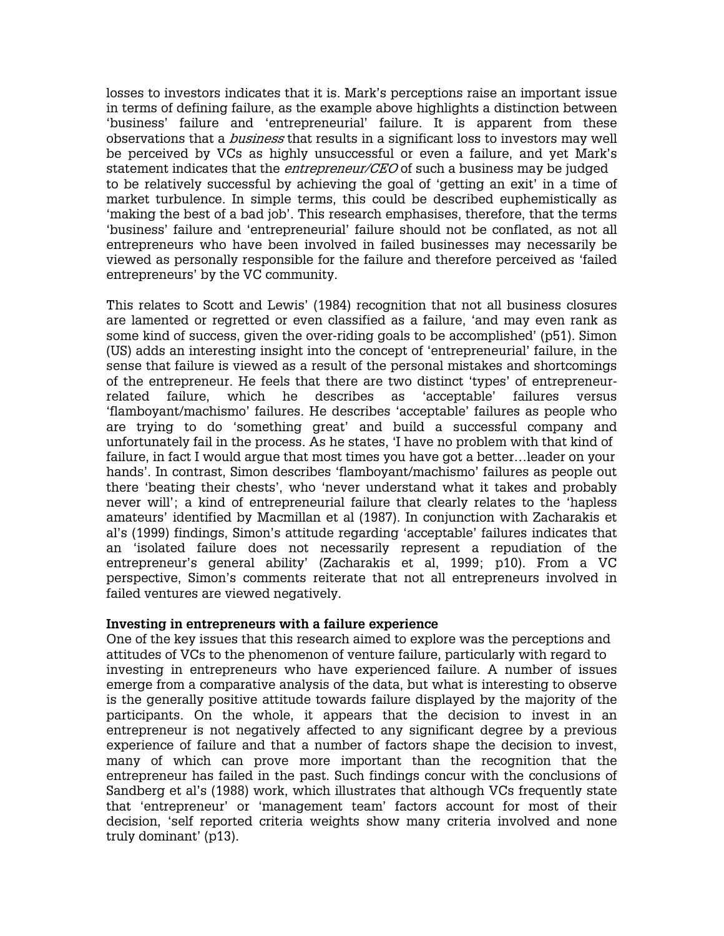losses to investors indicates that it is. Mark's perceptions raise an important issue in terms of defining failure, as the example above highlights a distinction between 'business' failure and 'entrepreneurial' failure. It is apparent from these observations that a *business* that results in a significant loss to investors may well be perceived by VCs as highly unsuccessful or even a failure, and yet Mark's statement indicates that the *entrepreneur/CEO* of such a business may be judged to be relatively successful by achieving the goal of 'getting an exit' in a time of market turbulence. In simple terms, this could be described euphemistically as 'making the best of a bad job'. This research emphasises, therefore, that the terms 'business' failure and 'entrepreneurial' failure should not be conflated, as not all entrepreneurs who have been involved in failed businesses may necessarily be viewed as personally responsible for the failure and therefore perceived as 'failed entrepreneurs' by the VC community.

This relates to Scott and Lewis' (1984) recognition that not all business closures are lamented or regretted or even classified as a failure, 'and may even rank as some kind of success, given the over-riding goals to be accomplished' (p51). Simon (US) adds an interesting insight into the concept of 'entrepreneurial' failure, in the sense that failure is viewed as a result of the personal mistakes and shortcomings of the entrepreneur. He feels that there are two distinct 'types' of entrepreneurrelated failure, which he describes as 'acceptable' failures versus 'flamboyant/machismo' failures. He describes 'acceptable' failures as people who are trying to do 'something great' and build a successful company and unfortunately fail in the process. As he states, 'I have no problem with that kind of failure, in fact I would argue that most times you have got a better…leader on your hands'. In contrast, Simon describes 'flamboyant/machismo' failures as people out there 'beating their chests', who 'never understand what it takes and probably never will'; a kind of entrepreneurial failure that clearly relates to the 'hapless amateurs' identified by Macmillan et al (1987). In conjunction with Zacharakis et al's (1999) findings, Simon's attitude regarding 'acceptable' failures indicates that an 'isolated failure does not necessarily represent a repudiation of the entrepreneur's general ability' (Zacharakis et al, 1999; p10). From a VC perspective, Simon's comments reiterate that not all entrepreneurs involved in failed ventures are viewed negatively.

# **Investing in entrepreneurs with a failure experience**

One of the key issues that this research aimed to explore was the perceptions and attitudes of VCs to the phenomenon of venture failure, particularly with regard to investing in entrepreneurs who have experienced failure. A number of issues emerge from a comparative analysis of the data, but what is interesting to observe is the generally positive attitude towards failure displayed by the majority of the participants. On the whole, it appears that the decision to invest in an entrepreneur is not negatively affected to any significant degree by a previous experience of failure and that a number of factors shape the decision to invest, many of which can prove more important than the recognition that the entrepreneur has failed in the past. Such findings concur with the conclusions of Sandberg et al's (1988) work, which illustrates that although VCs frequently state that 'entrepreneur' or 'management team' factors account for most of their decision, 'self reported criteria weights show many criteria involved and none truly dominant' (p13).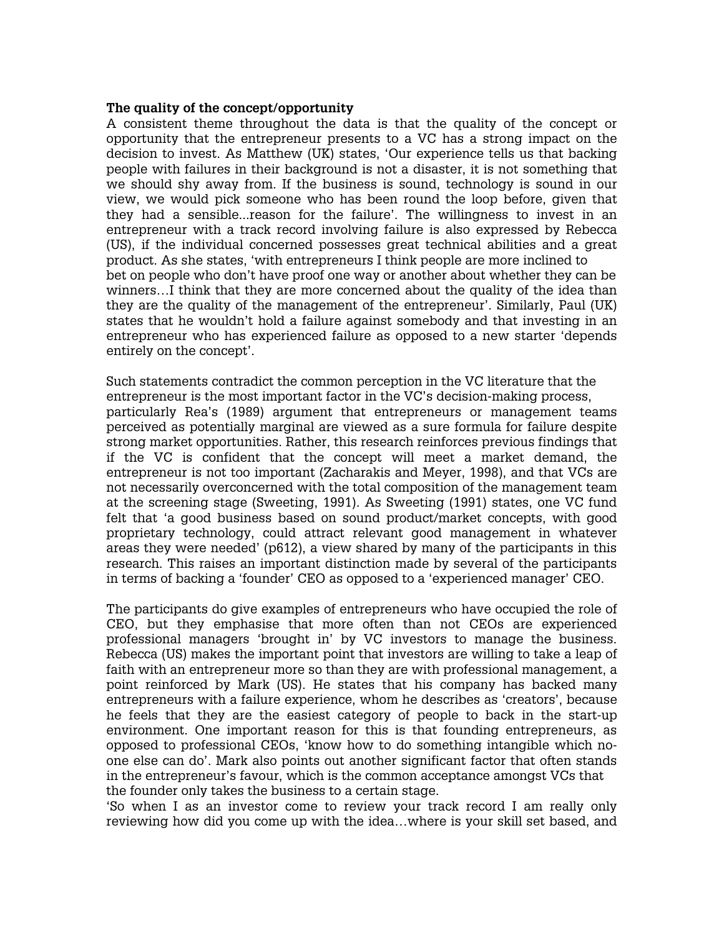#### **The quality of the concept/opportunity**

A consistent theme throughout the data is that the quality of the concept or opportunity that the entrepreneur presents to a VC has a strong impact on the decision to invest. As Matthew (UK) states, 'Our experience tells us that backing people with failures in their background is not a disaster, it is not something that we should shy away from. If the business is sound, technology is sound in our view, we would pick someone who has been round the loop before, given that they had a sensible...reason for the failure'. The willingness to invest in an entrepreneur with a track record involving failure is also expressed by Rebecca (US), if the individual concerned possesses great technical abilities and a great product. As she states, 'with entrepreneurs I think people are more inclined to bet on people who don't have proof one way or another about whether they can be winners…I think that they are more concerned about the quality of the idea than they are the quality of the management of the entrepreneur'. Similarly, Paul (UK) states that he wouldn't hold a failure against somebody and that investing in an entrepreneur who has experienced failure as opposed to a new starter 'depends entirely on the concept'.

Such statements contradict the common perception in the VC literature that the entrepreneur is the most important factor in the VC's decision-making process, particularly Rea's (1989) argument that entrepreneurs or management teams perceived as potentially marginal are viewed as a sure formula for failure despite strong market opportunities. Rather, this research reinforces previous findings that if the VC is confident that the concept will meet a market demand, the entrepreneur is not too important (Zacharakis and Meyer, 1998), and that VCs are not necessarily overconcerned with the total composition of the management team at the screening stage (Sweeting, 1991). As Sweeting (1991) states, one VC fund felt that 'a good business based on sound product/market concepts, with good proprietary technology, could attract relevant good management in whatever areas they were needed' (p612), a view shared by many of the participants in this research. This raises an important distinction made by several of the participants in terms of backing a 'founder' CEO as opposed to a 'experienced manager' CEO.

The participants do give examples of entrepreneurs who have occupied the role of CEO, but they emphasise that more often than not CEOs are experienced professional managers 'brought in' by VC investors to manage the business. Rebecca (US) makes the important point that investors are willing to take a leap of faith with an entrepreneur more so than they are with professional management, a point reinforced by Mark (US). He states that his company has backed many entrepreneurs with a failure experience, whom he describes as 'creators', because he feels that they are the easiest category of people to back in the start-up environment. One important reason for this is that founding entrepreneurs, as opposed to professional CEOs, 'know how to do something intangible which noone else can do'. Mark also points out another significant factor that often stands in the entrepreneur's favour, which is the common acceptance amongst VCs that the founder only takes the business to a certain stage.

'So when I as an investor come to review your track record I am really only reviewing how did you come up with the idea…where is your skill set based, and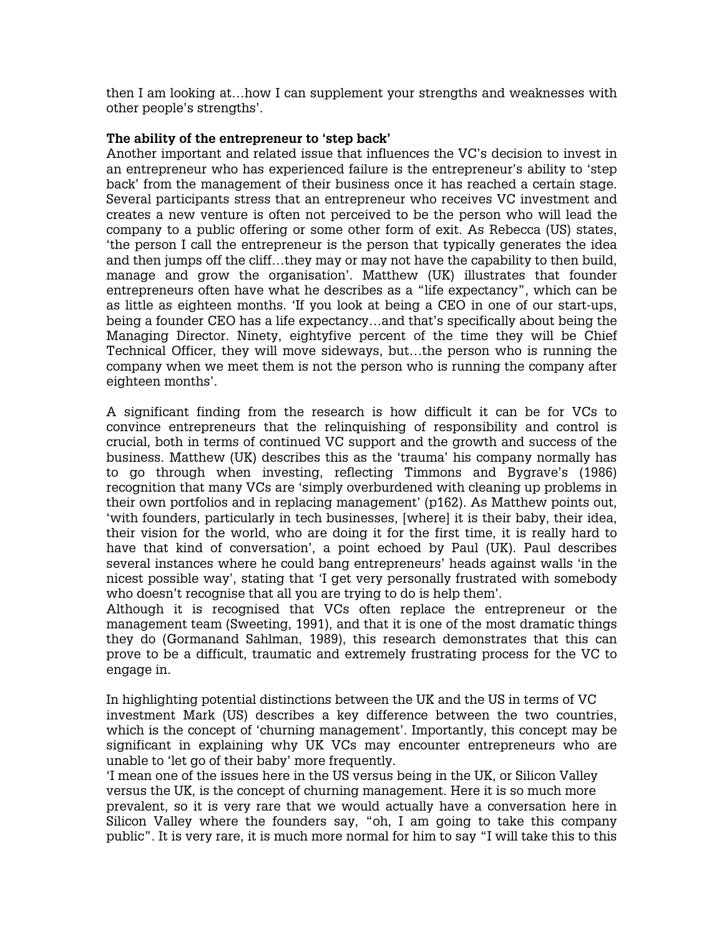then I am looking at…how I can supplement your strengths and weaknesses with other people's strengths'.

# **The ability of the entrepreneur to 'step back'**

Another important and related issue that influences the VC's decision to invest in an entrepreneur who has experienced failure is the entrepreneur's ability to 'step back' from the management of their business once it has reached a certain stage. Several participants stress that an entrepreneur who receives VC investment and creates a new venture is often not perceived to be the person who will lead the company to a public offering or some other form of exit. As Rebecca (US) states, 'the person I call the entrepreneur is the person that typically generates the idea and then jumps off the cliff…they may or may not have the capability to then build, manage and grow the organisation'. Matthew (UK) illustrates that founder entrepreneurs often have what he describes as a "life expectancy", which can be as little as eighteen months. 'If you look at being a CEO in one of our start-ups, being a founder CEO has a life expectancy…and that's specifically about being the Managing Director. Ninety, eightyfive percent of the time they will be Chief Technical Officer, they will move sideways, but…the person who is running the company when we meet them is not the person who is running the company after eighteen months'.

A significant finding from the research is how difficult it can be for VCs to convince entrepreneurs that the relinquishing of responsibility and control is crucial, both in terms of continued VC support and the growth and success of the business. Matthew (UK) describes this as the 'trauma' his company normally has to go through when investing, reflecting Timmons and Bygrave's (1986) recognition that many VCs are 'simply overburdened with cleaning up problems in their own portfolios and in replacing management' (p162). As Matthew points out, 'with founders, particularly in tech businesses, [where] it is their baby, their idea, their vision for the world, who are doing it for the first time, it is really hard to have that kind of conversation', a point echoed by Paul (UK). Paul describes several instances where he could bang entrepreneurs' heads against walls 'in the nicest possible way', stating that 'I get very personally frustrated with somebody who doesn't recognise that all you are trying to do is help them'.

Although it is recognised that VCs often replace the entrepreneur or the management team (Sweeting, 1991), and that it is one of the most dramatic things they do (Gormanand Sahlman, 1989), this research demonstrates that this can prove to be a difficult, traumatic and extremely frustrating process for the VC to engage in.

In highlighting potential distinctions between the UK and the US in terms of VC investment Mark (US) describes a key difference between the two countries, which is the concept of 'churning management'. Importantly, this concept may be significant in explaining why UK VCs may encounter entrepreneurs who are unable to 'let go of their baby' more frequently.

'I mean one of the issues here in the US versus being in the UK, or Silicon Valley versus the UK, is the concept of churning management. Here it is so much more prevalent, so it is very rare that we would actually have a conversation here in Silicon Valley where the founders say, "oh, I am going to take this company public". It is very rare, it is much more normal for him to say "I will take this to this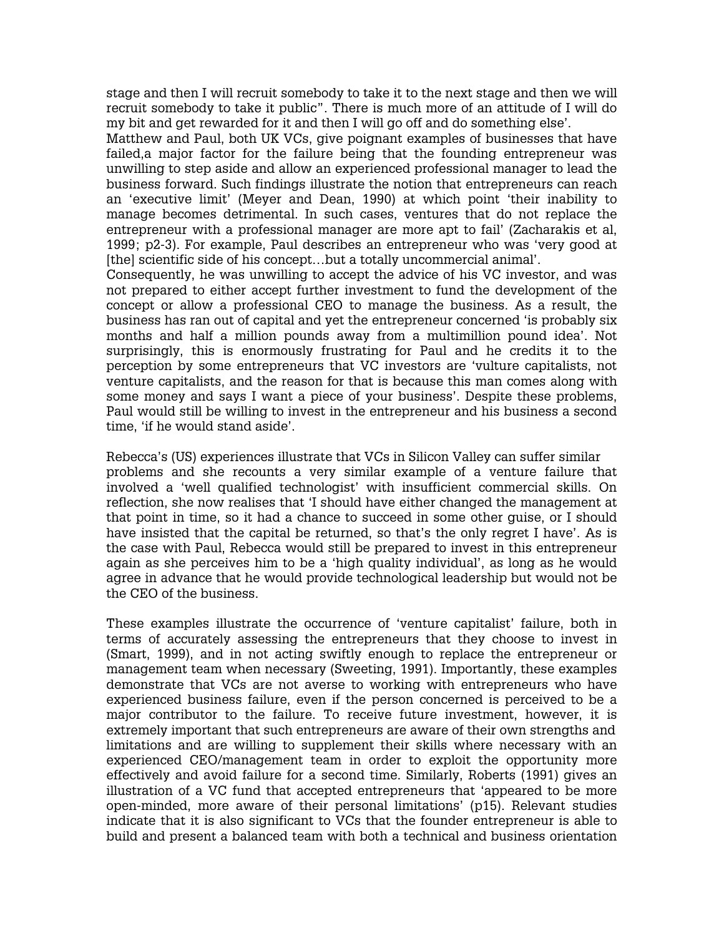stage and then I will recruit somebody to take it to the next stage and then we will recruit somebody to take it public". There is much more of an attitude of I will do my bit and get rewarded for it and then I will go off and do something else'.

Matthew and Paul, both UK VCs, give poignant examples of businesses that have failed,a major factor for the failure being that the founding entrepreneur was unwilling to step aside and allow an experienced professional manager to lead the business forward. Such findings illustrate the notion that entrepreneurs can reach an 'executive limit' (Meyer and Dean, 1990) at which point 'their inability to manage becomes detrimental. In such cases, ventures that do not replace the entrepreneur with a professional manager are more apt to fail' (Zacharakis et al, 1999; p2-3). For example, Paul describes an entrepreneur who was 'very good at [the] scientific side of his concept…but a totally uncommercial animal'.

Consequently, he was unwilling to accept the advice of his VC investor, and was not prepared to either accept further investment to fund the development of the concept or allow a professional CEO to manage the business. As a result, the business has ran out of capital and yet the entrepreneur concerned 'is probably six months and half a million pounds away from a multimillion pound idea'. Not surprisingly, this is enormously frustrating for Paul and he credits it to the perception by some entrepreneurs that VC investors are 'vulture capitalists, not venture capitalists, and the reason for that is because this man comes along with some money and says I want a piece of your business'. Despite these problems, Paul would still be willing to invest in the entrepreneur and his business a second time, 'if he would stand aside'.

Rebecca's (US) experiences illustrate that VCs in Silicon Valley can suffer similar problems and she recounts a very similar example of a venture failure that involved a 'well qualified technologist' with insufficient commercial skills. On reflection, she now realises that 'I should have either changed the management at that point in time, so it had a chance to succeed in some other guise, or I should have insisted that the capital be returned, so that's the only regret I have'. As is the case with Paul, Rebecca would still be prepared to invest in this entrepreneur again as she perceives him to be a 'high quality individual', as long as he would agree in advance that he would provide technological leadership but would not be the CEO of the business.

These examples illustrate the occurrence of 'venture capitalist' failure, both in terms of accurately assessing the entrepreneurs that they choose to invest in (Smart, 1999), and in not acting swiftly enough to replace the entrepreneur or management team when necessary (Sweeting, 1991). Importantly, these examples demonstrate that VCs are not averse to working with entrepreneurs who have experienced business failure, even if the person concerned is perceived to be a major contributor to the failure. To receive future investment, however, it is extremely important that such entrepreneurs are aware of their own strengths and limitations and are willing to supplement their skills where necessary with an experienced CEO/management team in order to exploit the opportunity more effectively and avoid failure for a second time. Similarly, Roberts (1991) gives an illustration of a VC fund that accepted entrepreneurs that 'appeared to be more open-minded, more aware of their personal limitations' (p15). Relevant studies indicate that it is also significant to VCs that the founder entrepreneur is able to build and present a balanced team with both a technical and business orientation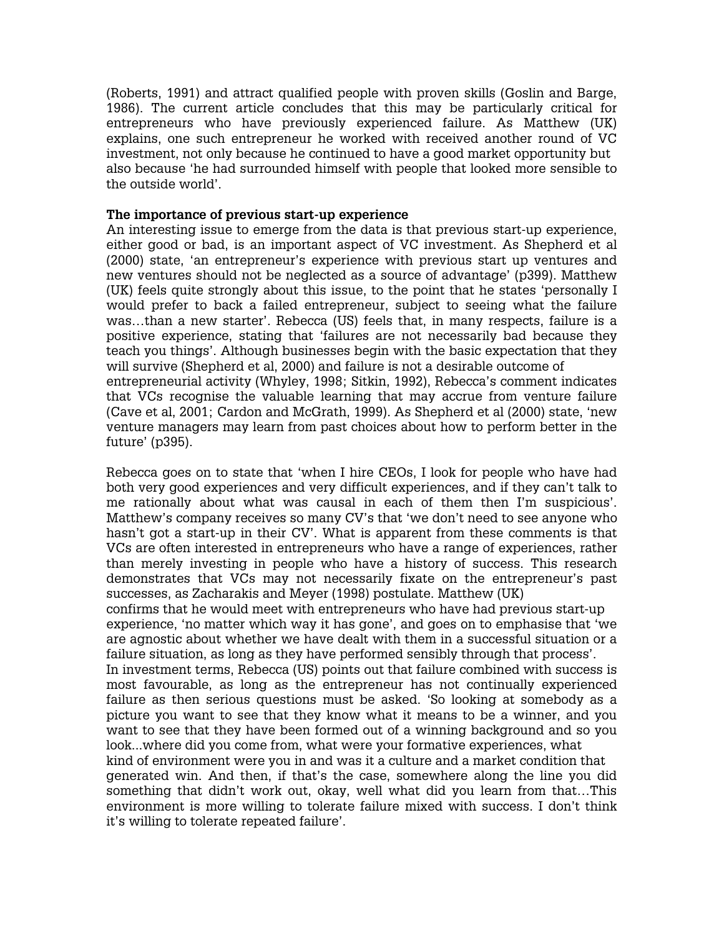(Roberts, 1991) and attract qualified people with proven skills (Goslin and Barge, 1986). The current article concludes that this may be particularly critical for entrepreneurs who have previously experienced failure. As Matthew (UK) explains, one such entrepreneur he worked with received another round of VC investment, not only because he continued to have a good market opportunity but also because 'he had surrounded himself with people that looked more sensible to the outside world'.

# **The importance of previous start-up experience**

An interesting issue to emerge from the data is that previous start-up experience, either good or bad, is an important aspect of VC investment. As Shepherd et al (2000) state, 'an entrepreneur's experience with previous start up ventures and new ventures should not be neglected as a source of advantage' (p399). Matthew (UK) feels quite strongly about this issue, to the point that he states 'personally I would prefer to back a failed entrepreneur, subject to seeing what the failure was…than a new starter'. Rebecca (US) feels that, in many respects, failure is a positive experience, stating that 'failures are not necessarily bad because they teach you things'. Although businesses begin with the basic expectation that they will survive (Shepherd et al, 2000) and failure is not a desirable outcome of entrepreneurial activity (Whyley, 1998; Sitkin, 1992), Rebecca's comment indicates that VCs recognise the valuable learning that may accrue from venture failure (Cave et al, 2001; Cardon and McGrath, 1999). As Shepherd et al (2000) state, 'new venture managers may learn from past choices about how to perform better in the future' (p395).

Rebecca goes on to state that 'when I hire CEOs, I look for people who have had both very good experiences and very difficult experiences, and if they can't talk to me rationally about what was causal in each of them then I'm suspicious'. Matthew's company receives so many CV's that 'we don't need to see anyone who hasn't got a start-up in their CV'. What is apparent from these comments is that VCs are often interested in entrepreneurs who have a range of experiences, rather than merely investing in people who have a history of success. This research demonstrates that VCs may not necessarily fixate on the entrepreneur's past successes, as Zacharakis and Meyer (1998) postulate. Matthew (UK)

confirms that he would meet with entrepreneurs who have had previous start-up experience, 'no matter which way it has gone', and goes on to emphasise that 'we are agnostic about whether we have dealt with them in a successful situation or a failure situation, as long as they have performed sensibly through that process'.

In investment terms, Rebecca (US) points out that failure combined with success is most favourable, as long as the entrepreneur has not continually experienced failure as then serious questions must be asked. 'So looking at somebody as a picture you want to see that they know what it means to be a winner, and you want to see that they have been formed out of a winning background and so you look...where did you come from, what were your formative experiences, what kind of environment were you in and was it a culture and a market condition that generated win. And then, if that's the case, somewhere along the line you did something that didn't work out, okay, well what did you learn from that…This environment is more willing to tolerate failure mixed with success. I don't think it's willing to tolerate repeated failure'.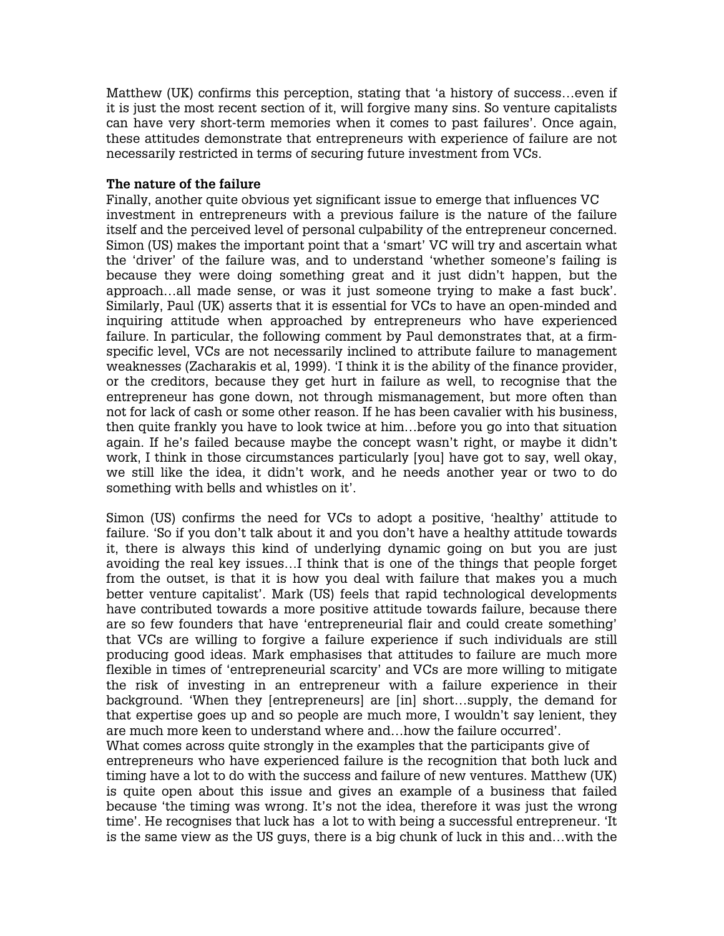Matthew (UK) confirms this perception, stating that 'a history of success…even if it is just the most recent section of it, will forgive many sins. So venture capitalists can have very short-term memories when it comes to past failures'. Once again, these attitudes demonstrate that entrepreneurs with experience of failure are not necessarily restricted in terms of securing future investment from VCs.

#### **The nature of the failure**

Finally, another quite obvious yet significant issue to emerge that influences VC investment in entrepreneurs with a previous failure is the nature of the failure itself and the perceived level of personal culpability of the entrepreneur concerned. Simon (US) makes the important point that a 'smart' VC will try and ascertain what the 'driver' of the failure was, and to understand 'whether someone's failing is because they were doing something great and it just didn't happen, but the approach…all made sense, or was it just someone trying to make a fast buck'. Similarly, Paul (UK) asserts that it is essential for VCs to have an open-minded and inquiring attitude when approached by entrepreneurs who have experienced failure. In particular, the following comment by Paul demonstrates that, at a firmspecific level, VCs are not necessarily inclined to attribute failure to management weaknesses (Zacharakis et al, 1999). 'I think it is the ability of the finance provider, or the creditors, because they get hurt in failure as well, to recognise that the entrepreneur has gone down, not through mismanagement, but more often than not for lack of cash or some other reason. If he has been cavalier with his business, then quite frankly you have to look twice at him…before you go into that situation again. If he's failed because maybe the concept wasn't right, or maybe it didn't work, I think in those circumstances particularly [you] have got to say, well okay, we still like the idea, it didn't work, and he needs another year or two to do something with bells and whistles on it'.

Simon (US) confirms the need for VCs to adopt a positive, 'healthy' attitude to failure. 'So if you don't talk about it and you don't have a healthy attitude towards it, there is always this kind of underlying dynamic going on but you are just avoiding the real key issues…I think that is one of the things that people forget from the outset, is that it is how you deal with failure that makes you a much better venture capitalist'. Mark (US) feels that rapid technological developments have contributed towards a more positive attitude towards failure, because there are so few founders that have 'entrepreneurial flair and could create something' that VCs are willing to forgive a failure experience if such individuals are still producing good ideas. Mark emphasises that attitudes to failure are much more flexible in times of 'entrepreneurial scarcity' and VCs are more willing to mitigate the risk of investing in an entrepreneur with a failure experience in their background. 'When they [entrepreneurs] are [in] short…supply, the demand for that expertise goes up and so people are much more, I wouldn't say lenient, they are much more keen to understand where and…how the failure occurred'.

What comes across quite strongly in the examples that the participants give of entrepreneurs who have experienced failure is the recognition that both luck and timing have a lot to do with the success and failure of new ventures. Matthew (UK) is quite open about this issue and gives an example of a business that failed because 'the timing was wrong. It's not the idea, therefore it was just the wrong time'. He recognises that luck has a lot to with being a successful entrepreneur. 'It is the same view as the US guys, there is a big chunk of luck in this and…with the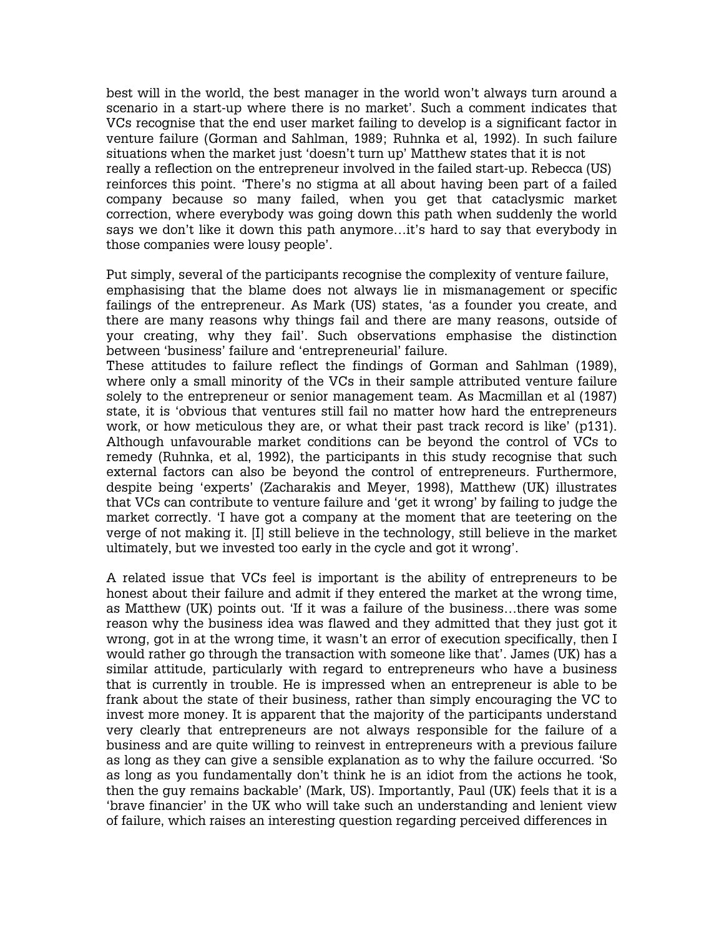best will in the world, the best manager in the world won't always turn around a scenario in a start-up where there is no market'. Such a comment indicates that VCs recognise that the end user market failing to develop is a significant factor in venture failure (Gorman and Sahlman, 1989; Ruhnka et al, 1992). In such failure situations when the market just 'doesn't turn up' Matthew states that it is not really a reflection on the entrepreneur involved in the failed start-up. Rebecca (US) reinforces this point. 'There's no stigma at all about having been part of a failed company because so many failed, when you get that cataclysmic market correction, where everybody was going down this path when suddenly the world says we don't like it down this path anymore…it's hard to say that everybody in those companies were lousy people'.

Put simply, several of the participants recognise the complexity of venture failure, emphasising that the blame does not always lie in mismanagement or specific failings of the entrepreneur. As Mark (US) states, 'as a founder you create, and there are many reasons why things fail and there are many reasons, outside of your creating, why they fail'. Such observations emphasise the distinction between 'business' failure and 'entrepreneurial' failure.

These attitudes to failure reflect the findings of Gorman and Sahlman (1989), where only a small minority of the VCs in their sample attributed venture failure solely to the entrepreneur or senior management team. As Macmillan et al (1987) state, it is 'obvious that ventures still fail no matter how hard the entrepreneurs work, or how meticulous they are, or what their past track record is like' (p131). Although unfavourable market conditions can be beyond the control of VCs to remedy (Ruhnka, et al, 1992), the participants in this study recognise that such external factors can also be beyond the control of entrepreneurs. Furthermore, despite being 'experts' (Zacharakis and Meyer, 1998), Matthew (UK) illustrates that VCs can contribute to venture failure and 'get it wrong' by failing to judge the market correctly. 'I have got a company at the moment that are teetering on the verge of not making it. [I] still believe in the technology, still believe in the market ultimately, but we invested too early in the cycle and got it wrong'.

A related issue that VCs feel is important is the ability of entrepreneurs to be honest about their failure and admit if they entered the market at the wrong time, as Matthew (UK) points out. 'If it was a failure of the business…there was some reason why the business idea was flawed and they admitted that they just got it wrong, got in at the wrong time, it wasn't an error of execution specifically, then I would rather go through the transaction with someone like that'. James (UK) has a similar attitude, particularly with regard to entrepreneurs who have a business that is currently in trouble. He is impressed when an entrepreneur is able to be frank about the state of their business, rather than simply encouraging the VC to invest more money. It is apparent that the majority of the participants understand very clearly that entrepreneurs are not always responsible for the failure of a business and are quite willing to reinvest in entrepreneurs with a previous failure as long as they can give a sensible explanation as to why the failure occurred. 'So as long as you fundamentally don't think he is an idiot from the actions he took, then the guy remains backable' (Mark, US). Importantly, Paul (UK) feels that it is a 'brave financier' in the UK who will take such an understanding and lenient view of failure, which raises an interesting question regarding perceived differences in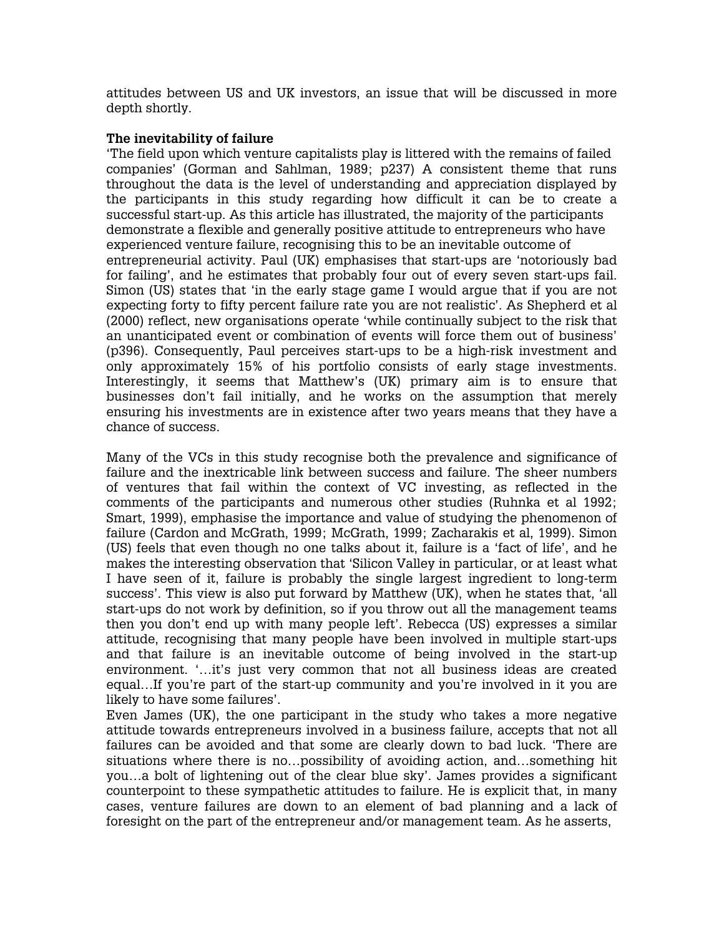attitudes between US and UK investors, an issue that will be discussed in more depth shortly.

# **The inevitability of failure**

'The field upon which venture capitalists play is littered with the remains of failed companies' (Gorman and Sahlman, 1989; p237) A consistent theme that runs throughout the data is the level of understanding and appreciation displayed by the participants in this study regarding how difficult it can be to create a successful start-up. As this article has illustrated, the majority of the participants demonstrate a flexible and generally positive attitude to entrepreneurs who have experienced venture failure, recognising this to be an inevitable outcome of entrepreneurial activity. Paul (UK) emphasises that start-ups are 'notoriously bad for failing', and he estimates that probably four out of every seven start-ups fail. Simon (US) states that 'in the early stage game I would argue that if you are not expecting forty to fifty percent failure rate you are not realistic'. As Shepherd et al (2000) reflect, new organisations operate 'while continually subject to the risk that an unanticipated event or combination of events will force them out of business' (p396). Consequently, Paul perceives start-ups to be a high-risk investment and only approximately 15% of his portfolio consists of early stage investments. Interestingly, it seems that Matthew's (UK) primary aim is to ensure that businesses don't fail initially, and he works on the assumption that merely ensuring his investments are in existence after two years means that they have a chance of success.

Many of the VCs in this study recognise both the prevalence and significance of failure and the inextricable link between success and failure. The sheer numbers of ventures that fail within the context of VC investing, as reflected in the comments of the participants and numerous other studies (Ruhnka et al 1992; Smart, 1999), emphasise the importance and value of studying the phenomenon of failure (Cardon and McGrath, 1999; McGrath, 1999; Zacharakis et al, 1999). Simon (US) feels that even though no one talks about it, failure is a 'fact of life', and he makes the interesting observation that 'Silicon Valley in particular, or at least what I have seen of it, failure is probably the single largest ingredient to long-term success'. This view is also put forward by Matthew (UK), when he states that, 'all start-ups do not work by definition, so if you throw out all the management teams then you don't end up with many people left'. Rebecca (US) expresses a similar attitude, recognising that many people have been involved in multiple start-ups and that failure is an inevitable outcome of being involved in the start-up environment. '…it's just very common that not all business ideas are created equal…If you're part of the start-up community and you're involved in it you are likely to have some failures'.

Even James (UK), the one participant in the study who takes a more negative attitude towards entrepreneurs involved in a business failure, accepts that not all failures can be avoided and that some are clearly down to bad luck. 'There are situations where there is no…possibility of avoiding action, and…something hit you…a bolt of lightening out of the clear blue sky'. James provides a significant counterpoint to these sympathetic attitudes to failure. He is explicit that, in many cases, venture failures are down to an element of bad planning and a lack of foresight on the part of the entrepreneur and/or management team. As he asserts,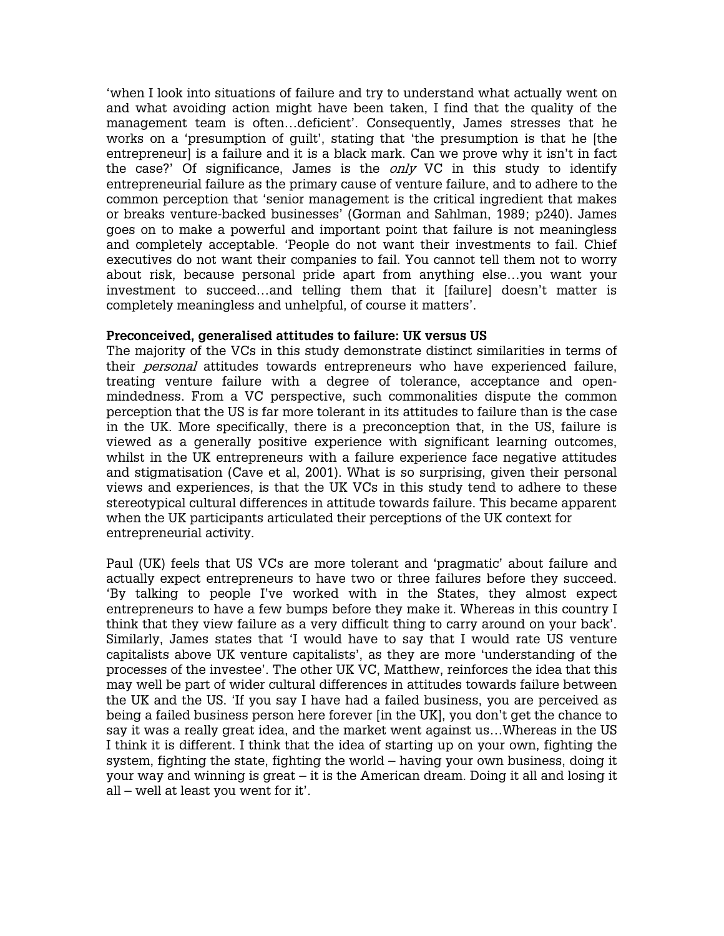'when I look into situations of failure and try to understand what actually went on and what avoiding action might have been taken, I find that the quality of the management team is often…deficient'. Consequently, James stresses that he works on a 'presumption of guilt', stating that 'the presumption is that he [the entrepreneur] is a failure and it is a black mark. Can we prove why it isn't in fact the case?' Of significance, James is the *only* VC in this study to identify entrepreneurial failure as the primary cause of venture failure, and to adhere to the common perception that 'senior management is the critical ingredient that makes or breaks venture-backed businesses' (Gorman and Sahlman, 1989; p240). James goes on to make a powerful and important point that failure is not meaningless and completely acceptable. 'People do not want their investments to fail. Chief executives do not want their companies to fail. You cannot tell them not to worry about risk, because personal pride apart from anything else…you want your investment to succeed…and telling them that it [failure] doesn't matter is completely meaningless and unhelpful, of course it matters'.

# **Preconceived, generalised attitudes to failure: UK versus US**

The majority of the VCs in this study demonstrate distinct similarities in terms of their *personal* attitudes towards entrepreneurs who have experienced failure, treating venture failure with a degree of tolerance, acceptance and openmindedness. From a VC perspective, such commonalities dispute the common perception that the US is far more tolerant in its attitudes to failure than is the case in the UK. More specifically, there is a preconception that, in the US, failure is viewed as a generally positive experience with significant learning outcomes, whilst in the UK entrepreneurs with a failure experience face negative attitudes and stigmatisation (Cave et al, 2001). What is so surprising, given their personal views and experiences, is that the UK VCs in this study tend to adhere to these stereotypical cultural differences in attitude towards failure. This became apparent when the UK participants articulated their perceptions of the UK context for entrepreneurial activity.

Paul (UK) feels that US VCs are more tolerant and 'pragmatic' about failure and actually expect entrepreneurs to have two or three failures before they succeed. 'By talking to people I've worked with in the States, they almost expect entrepreneurs to have a few bumps before they make it. Whereas in this country I think that they view failure as a very difficult thing to carry around on your back'. Similarly, James states that 'I would have to say that I would rate US venture capitalists above UK venture capitalists', as they are more 'understanding of the processes of the investee'. The other UK VC, Matthew, reinforces the idea that this may well be part of wider cultural differences in attitudes towards failure between the UK and the US. 'If you say I have had a failed business, you are perceived as being a failed business person here forever [in the UK], you don't get the chance to say it was a really great idea, and the market went against us…Whereas in the US I think it is different. I think that the idea of starting up on your own, fighting the system, fighting the state, fighting the world – having your own business, doing it your way and winning is great – it is the American dream. Doing it all and losing it all – well at least you went for it'.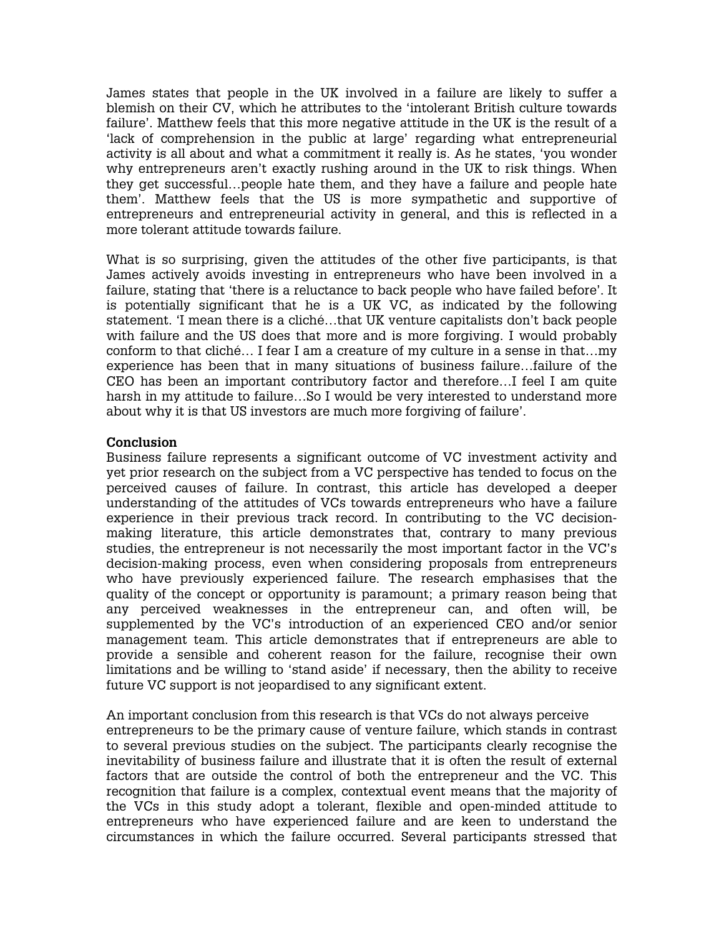James states that people in the UK involved in a failure are likely to suffer a blemish on their CV, which he attributes to the 'intolerant British culture towards failure'. Matthew feels that this more negative attitude in the UK is the result of a 'lack of comprehension in the public at large' regarding what entrepreneurial activity is all about and what a commitment it really is. As he states, 'you wonder why entrepreneurs aren't exactly rushing around in the UK to risk things. When they get successful…people hate them, and they have a failure and people hate them'. Matthew feels that the US is more sympathetic and supportive of entrepreneurs and entrepreneurial activity in general, and this is reflected in a more tolerant attitude towards failure.

What is so surprising, given the attitudes of the other five participants, is that James actively avoids investing in entrepreneurs who have been involved in a failure, stating that 'there is a reluctance to back people who have failed before'. It is potentially significant that he is a UK VC, as indicated by the following statement. 'I mean there is a cliché…that UK venture capitalists don't back people with failure and the US does that more and is more forgiving. I would probably conform to that cliché… I fear I am a creature of my culture in a sense in that…my experience has been that in many situations of business failure…failure of the CEO has been an important contributory factor and therefore…I feel I am quite harsh in my attitude to failure…So I would be very interested to understand more about why it is that US investors are much more forgiving of failure'.

# **Conclusion**

Business failure represents a significant outcome of VC investment activity and yet prior research on the subject from a VC perspective has tended to focus on the perceived causes of failure. In contrast, this article has developed a deeper understanding of the attitudes of VCs towards entrepreneurs who have a failure experience in their previous track record. In contributing to the VC decisionmaking literature, this article demonstrates that, contrary to many previous studies, the entrepreneur is not necessarily the most important factor in the VC's decision-making process, even when considering proposals from entrepreneurs who have previously experienced failure. The research emphasises that the quality of the concept or opportunity is paramount; a primary reason being that any perceived weaknesses in the entrepreneur can, and often will, be supplemented by the VC's introduction of an experienced CEO and/or senior management team. This article demonstrates that if entrepreneurs are able to provide a sensible and coherent reason for the failure, recognise their own limitations and be willing to 'stand aside' if necessary, then the ability to receive future VC support is not jeopardised to any significant extent.

An important conclusion from this research is that VCs do not always perceive entrepreneurs to be the primary cause of venture failure, which stands in contrast to several previous studies on the subject. The participants clearly recognise the inevitability of business failure and illustrate that it is often the result of external factors that are outside the control of both the entrepreneur and the VC. This recognition that failure is a complex, contextual event means that the majority of the VCs in this study adopt a tolerant, flexible and open-minded attitude to entrepreneurs who have experienced failure and are keen to understand the circumstances in which the failure occurred. Several participants stressed that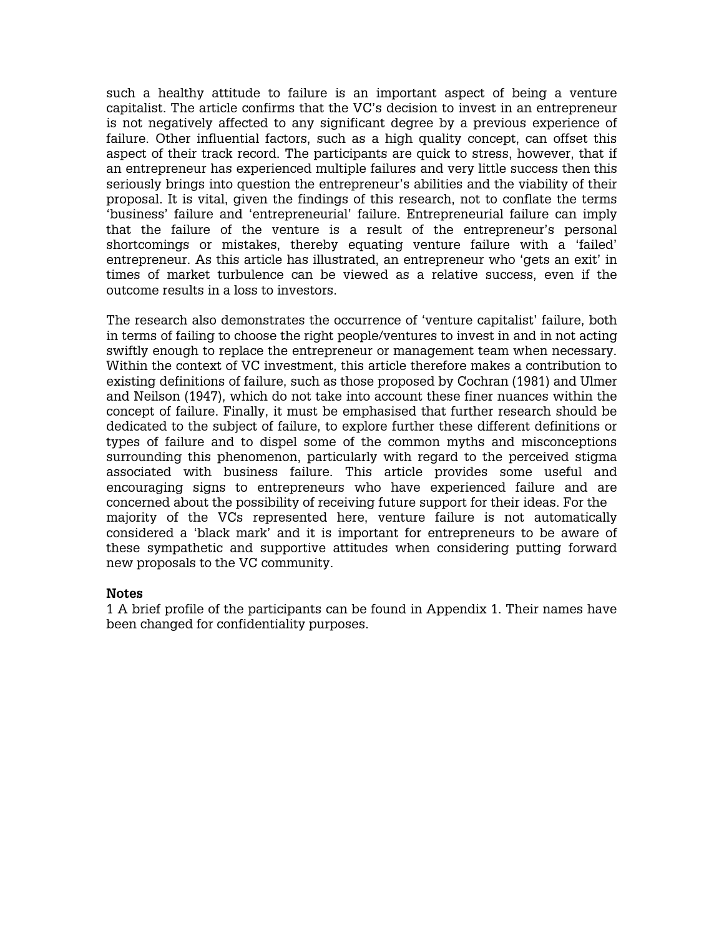such a healthy attitude to failure is an important aspect of being a venture capitalist. The article confirms that the VC's decision to invest in an entrepreneur is not negatively affected to any significant degree by a previous experience of failure. Other influential factors, such as a high quality concept, can offset this aspect of their track record. The participants are quick to stress, however, that if an entrepreneur has experienced multiple failures and very little success then this seriously brings into question the entrepreneur's abilities and the viability of their proposal. It is vital, given the findings of this research, not to conflate the terms 'business' failure and 'entrepreneurial' failure. Entrepreneurial failure can imply that the failure of the venture is a result of the entrepreneur's personal shortcomings or mistakes, thereby equating venture failure with a 'failed' entrepreneur. As this article has illustrated, an entrepreneur who 'gets an exit' in times of market turbulence can be viewed as a relative success, even if the outcome results in a loss to investors.

The research also demonstrates the occurrence of 'venture capitalist' failure, both in terms of failing to choose the right people/ventures to invest in and in not acting swiftly enough to replace the entrepreneur or management team when necessary. Within the context of VC investment, this article therefore makes a contribution to existing definitions of failure, such as those proposed by Cochran (1981) and Ulmer and Neilson (1947), which do not take into account these finer nuances within the concept of failure. Finally, it must be emphasised that further research should be dedicated to the subject of failure, to explore further these different definitions or types of failure and to dispel some of the common myths and misconceptions surrounding this phenomenon, particularly with regard to the perceived stigma associated with business failure. This article provides some useful and encouraging signs to entrepreneurs who have experienced failure and are concerned about the possibility of receiving future support for their ideas. For the majority of the VCs represented here, venture failure is not automatically considered a 'black mark' and it is important for entrepreneurs to be aware of these sympathetic and supportive attitudes when considering putting forward new proposals to the VC community.

# **Notes**

1 A brief profile of the participants can be found in Appendix 1. Their names have been changed for confidentiality purposes.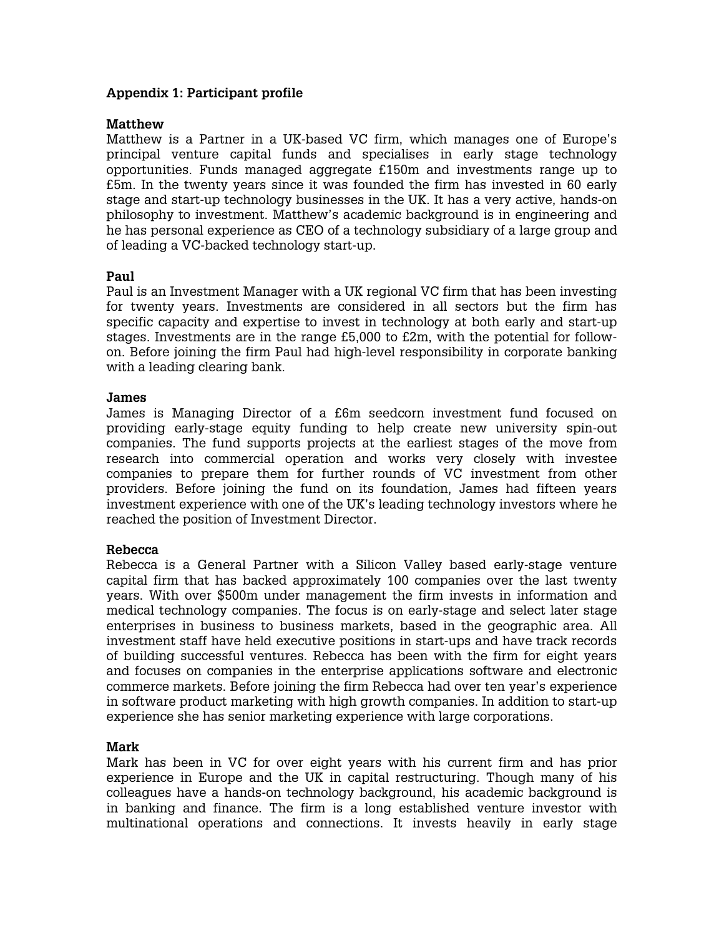# **Appendix 1: Participant profile**

# **Matthew**

Matthew is a Partner in a UK-based VC firm, which manages one of Europe's principal venture capital funds and specialises in early stage technology opportunities. Funds managed aggregate £150m and investments range up to £5m. In the twenty years since it was founded the firm has invested in 60 early stage and start-up technology businesses in the UK. It has a very active, hands-on philosophy to investment. Matthew's academic background is in engineering and he has personal experience as CEO of a technology subsidiary of a large group and of leading a VC-backed technology start-up.

# **Paul**

Paul is an Investment Manager with a UK regional VC firm that has been investing for twenty years. Investments are considered in all sectors but the firm has specific capacity and expertise to invest in technology at both early and start-up stages. Investments are in the range £5,000 to £2m, with the potential for followon. Before joining the firm Paul had high-level responsibility in corporate banking with a leading clearing bank.

# **James**

James is Managing Director of a £6m seedcorn investment fund focused on providing early-stage equity funding to help create new university spin-out companies. The fund supports projects at the earliest stages of the move from research into commercial operation and works very closely with investee companies to prepare them for further rounds of VC investment from other providers. Before joining the fund on its foundation, James had fifteen years investment experience with one of the UK's leading technology investors where he reached the position of Investment Director.

# **Rebecca**

Rebecca is a General Partner with a Silicon Valley based early-stage venture capital firm that has backed approximately 100 companies over the last twenty years. With over \$500m under management the firm invests in information and medical technology companies. The focus is on early-stage and select later stage enterprises in business to business markets, based in the geographic area. All investment staff have held executive positions in start-ups and have track records of building successful ventures. Rebecca has been with the firm for eight years and focuses on companies in the enterprise applications software and electronic commerce markets. Before joining the firm Rebecca had over ten year's experience in software product marketing with high growth companies. In addition to start-up experience she has senior marketing experience with large corporations.

# **Mark**

Mark has been in VC for over eight years with his current firm and has prior experience in Europe and the UK in capital restructuring. Though many of his colleagues have a hands-on technology background, his academic background is in banking and finance. The firm is a long established venture investor with multinational operations and connections. It invests heavily in early stage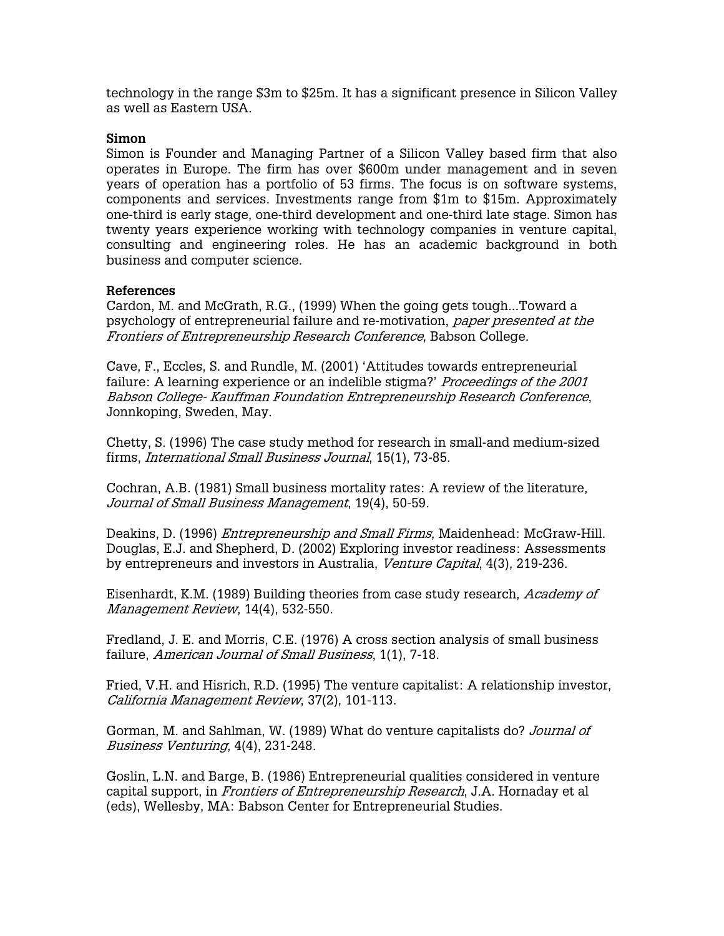technology in the range \$3m to \$25m. It has a significant presence in Silicon Valley as well as Eastern USA.

#### **Simon**

Simon is Founder and Managing Partner of a Silicon Valley based firm that also operates in Europe. The firm has over \$600m under management and in seven years of operation has a portfolio of 53 firms. The focus is on software systems, components and services. Investments range from \$1m to \$15m. Approximately one-third is early stage, one-third development and one-third late stage. Simon has twenty years experience working with technology companies in venture capital, consulting and engineering roles. He has an academic background in both business and computer science.

# **References**

Cardon, M. and McGrath, R.G., (1999) When the going gets tough...Toward a psychology of entrepreneurial failure and re-motivation, paper presented at the Frontiers of Entrepreneurship Research Conference, Babson College.

Cave, F., Eccles, S. and Rundle, M. (2001) 'Attitudes towards entrepreneurial failure: A learning experience or an indelible stigma?' Proceedings of the 2001 Babson College- Kauffman Foundation Entrepreneurship Research Conference, Jonnkoping, Sweden, May.

Chetty, S. (1996) The case study method for research in small-and medium-sized firms, *International Small Business Journal*, 15(1), 73-85.

Cochran, A.B. (1981) Small business mortality rates: A review of the literature, Journal of Small Business Management, 19(4), 50-59.

Deakins, D. (1996) *Entrepreneurship and Small Firms*, Maidenhead: McGraw-Hill. Douglas, E.J. and Shepherd, D. (2002) Exploring investor readiness: Assessments by entrepreneurs and investors in Australia, *Venture Capital*, 4(3), 219-236.

Eisenhardt, K.M. (1989) Building theories from case study research, Academy of Management Review, 14(4), 532-550.

Fredland, J. E. and Morris, C.E. (1976) A cross section analysis of small business failure, American Journal of Small Business, 1(1), 7-18.

Fried, V.H. and Hisrich, R.D. (1995) The venture capitalist: A relationship investor, California Management Review, 37(2), 101-113.

Gorman, M. and Sahlman, W. (1989) What do venture capitalists do? Journal of Business Venturing, 4(4), 231-248.

Goslin, L.N. and Barge, B. (1986) Entrepreneurial qualities considered in venture capital support, in *Frontiers of Entrepreneurship Research*, J.A. Hornaday et al (eds), Wellesby, MA: Babson Center for Entrepreneurial Studies.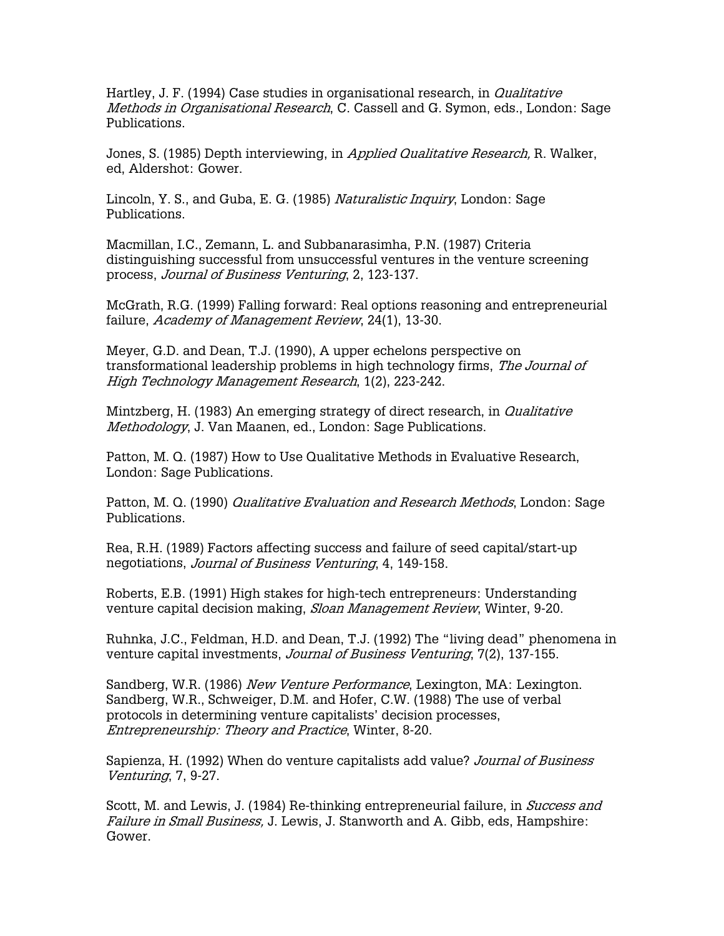Hartley, J. F. (1994) Case studies in organisational research, in *Qualitative* Methods in Organisational Research, C. Cassell and G. Symon, eds., London: Sage Publications.

Jones, S. (1985) Depth interviewing, in *Applied Qualitative Research*, R. Walker, ed, Aldershot: Gower.

Lincoln, Y. S., and Guba, E. G. (1985) Naturalistic Inquiry, London: Sage Publications.

Macmillan, I.C., Zemann, L. and Subbanarasimha, P.N. (1987) Criteria distinguishing successful from unsuccessful ventures in the venture screening process, Journal of Business Venturing, 2, 123-137.

McGrath, R.G. (1999) Falling forward: Real options reasoning and entrepreneurial failure, Academy of Management Review, 24(1), 13-30.

Meyer, G.D. and Dean, T.J. (1990), A upper echelons perspective on transformational leadership problems in high technology firms, The Journal of High Technology Management Research, 1(2), 223-242.

Mintzberg, H. (1983) An emerging strategy of direct research, in *Qualitative* Methodology, J. Van Maanen, ed., London: Sage Publications.

Patton, M. Q. (1987) How to Use Qualitative Methods in Evaluative Research, London: Sage Publications.

Patton, M. Q. (1990) *Qualitative Evaluation and Research Methods*, London: Sage Publications.

Rea, R.H. (1989) Factors affecting success and failure of seed capital/start-up negotiations, Journal of Business Venturing, 4, 149-158.

Roberts, E.B. (1991) High stakes for high-tech entrepreneurs: Understanding venture capital decision making, Sloan Management Review, Winter, 9-20.

Ruhnka, J.C., Feldman, H.D. and Dean, T.J. (1992) The "living dead" phenomena in venture capital investments, *Journal of Business Venturing*, 7(2), 137-155.

Sandberg, W.R. (1986) New Venture Performance, Lexington, MA: Lexington. Sandberg, W.R., Schweiger, D.M. and Hofer, C.W. (1988) The use of verbal protocols in determining venture capitalists' decision processes, Entrepreneurship: Theory and Practice, Winter, 8-20.

Sapienza, H. (1992) When do venture capitalists add value? Journal of Business Venturing, 7, 9-27.

Scott, M. and Lewis, J. (1984) Re-thinking entrepreneurial failure, in Success and Failure in Small Business, J. Lewis, J. Stanworth and A. Gibb, eds, Hampshire: Gower.